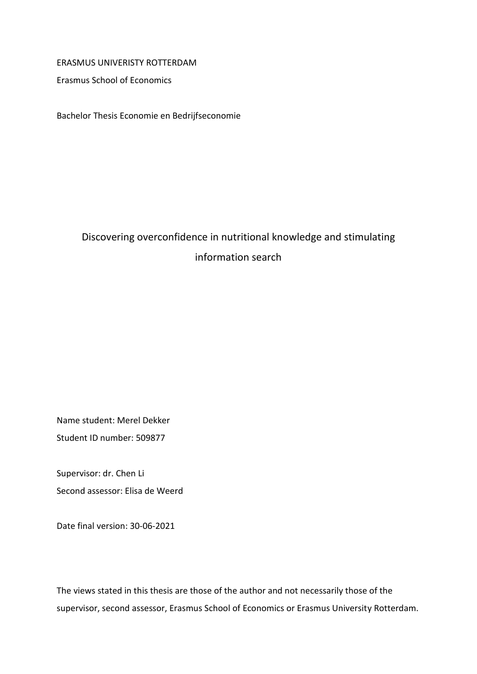# ERASMUS UNIVERISTY ROTTERDAM

Erasmus School of Economics

Bachelor Thesis Economie en Bedrijfseconomie

# Discovering overconfidence in nutritional knowledge and stimulating information search

Name student: Merel Dekker Student ID number: 509877

Supervisor: dr. Chen Li Second assessor: Elisa de Weerd

Date final version: 30-06-2021

The views stated in this thesis are those of the author and not necessarily those of the supervisor, second assessor, Erasmus School of Economics or Erasmus University Rotterdam.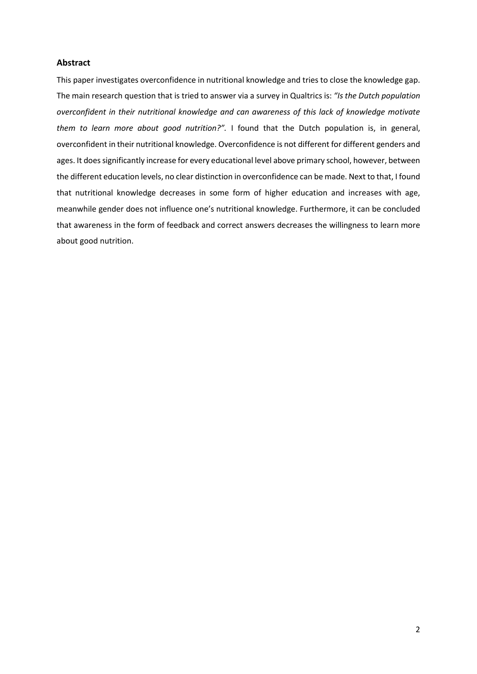### **Abstract**

This paper investigates overconfidence in nutritional knowledge and tries to close the knowledge gap. The main research question that is tried to answer via a survey in Qualtrics is: *"Is the Dutch population overconfident in their nutritional knowledge and can awareness of this lack of knowledge motivate them to learn more about good nutrition?".* I found that the Dutch population is, in general, overconfident in their nutritional knowledge. Overconfidence is not different for different genders and ages. It does significantly increase for every educational level above primary school, however, between the different education levels, no clear distinction in overconfidence can be made. Next to that, I found that nutritional knowledge decreases in some form of higher education and increases with age, meanwhile gender does not influence one's nutritional knowledge. Furthermore, it can be concluded that awareness in the form of feedback and correct answers decreases the willingness to learn more about good nutrition.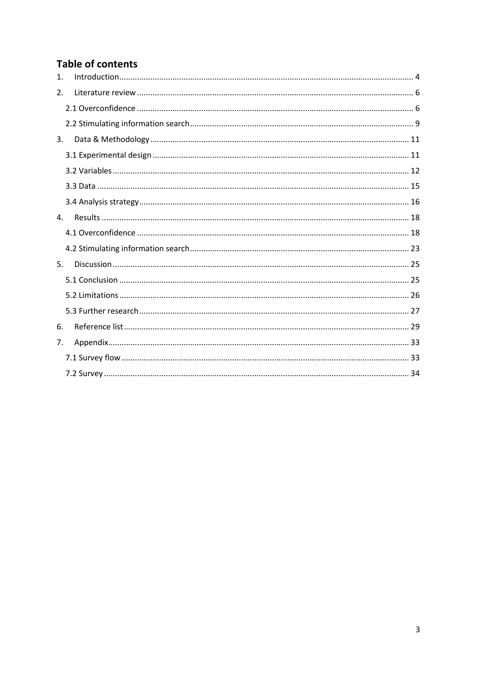# **Table of contents**

| $\mathbf{1}$ . |  |
|----------------|--|
| 2.             |  |
|                |  |
|                |  |
| 3.             |  |
|                |  |
|                |  |
|                |  |
|                |  |
| 4.             |  |
|                |  |
|                |  |
| 5.             |  |
|                |  |
|                |  |
|                |  |
| 6.             |  |
| 7.             |  |
|                |  |
|                |  |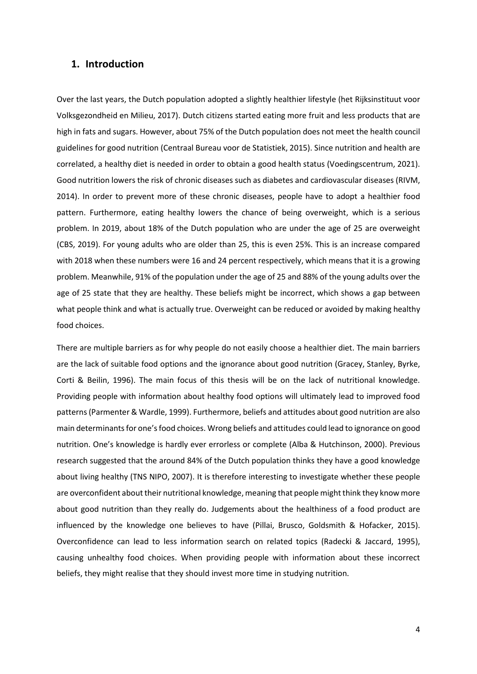# <span id="page-3-0"></span>**1. Introduction**

Over the last years, the Dutch population adopted a slightly healthier lifestyle (het Rijksinstituut voor Volksgezondheid en Milieu, 2017). Dutch citizens started eating more fruit and less products that are high in fats and sugars. However, about 75% of the Dutch population does not meet the health council guidelines for good nutrition (Centraal Bureau voor de Statistiek, 2015). Since nutrition and health are correlated, a healthy diet is needed in order to obtain a good health status (Voedingscentrum, 2021). Good nutrition lowers the risk of chronic diseases such as diabetes and cardiovascular diseases (RIVM, 2014). In order to prevent more of these chronic diseases, people have to adopt a healthier food pattern. Furthermore, eating healthy lowers the chance of being overweight, which is a serious problem. In 2019, about 18% of the Dutch population who are under the age of 25 are overweight (CBS, 2019). For young adults who are older than 25, this is even 25%. This is an increase compared with 2018 when these numbers were 16 and 24 percent respectively, which means that it is a growing problem. Meanwhile, 91% of the population under the age of 25 and 88% of the young adults over the age of 25 state that they are healthy. These beliefs might be incorrect, which shows a gap between what people think and what is actually true. Overweight can be reduced or avoided by making healthy food choices.

There are multiple barriers as for why people do not easily choose a healthier diet. The main barriers are the lack of suitable food options and the ignorance about good nutrition (Gracey, Stanley, Byrke, Corti & Beilin, 1996). The main focus of this thesis will be on the lack of nutritional knowledge. Providing people with information about healthy food options will ultimately lead to improved food patterns (Parmenter & Wardle, 1999). Furthermore, beliefs and attitudes about good nutrition are also main determinants for one's food choices. Wrong beliefs and attitudes could lead to ignorance on good nutrition. One's knowledge is hardly ever errorless or complete (Alba & Hutchinson, 2000). Previous research suggested that the around 84% of the Dutch population thinks they have a good knowledge about living healthy (TNS NIPO, 2007). It is therefore interesting to investigate whether these people are overconfident about their nutritional knowledge, meaning that people might think they know more about good nutrition than they really do. Judgements about the healthiness of a food product are influenced by the knowledge one believes to have (Pillai, Brusco, Goldsmith & Hofacker, 2015). Overconfidence can lead to less information search on related topics (Radecki & Jaccard, 1995), causing unhealthy food choices. When providing people with information about these incorrect beliefs, they might realise that they should invest more time in studying nutrition.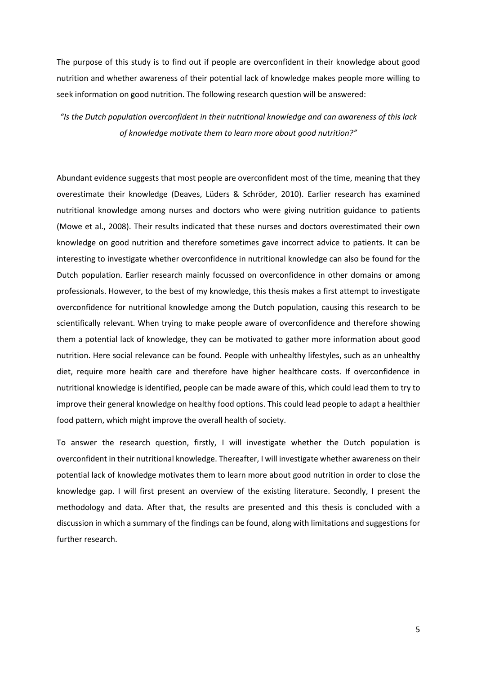The purpose of this study is to find out if people are overconfident in their knowledge about good nutrition and whether awareness of their potential lack of knowledge makes people more willing to seek information on good nutrition. The following research question will be answered:

*"Is the Dutch population overconfident in their nutritional knowledge and can awareness of this lack of knowledge motivate them to learn more about good nutrition?"*

Abundant evidence suggests that most people are overconfident most of the time, meaning that they overestimate their knowledge (Deaves, Lüders & Schröder, 2010). Earlier research has examined nutritional knowledge among nurses and doctors who were giving nutrition guidance to patients (Mowe et al., 2008). Their results indicated that these nurses and doctors overestimated their own knowledge on good nutrition and therefore sometimes gave incorrect advice to patients. It can be interesting to investigate whether overconfidence in nutritional knowledge can also be found for the Dutch population. Earlier research mainly focussed on overconfidence in other domains or among professionals. However, to the best of my knowledge, this thesis makes a first attempt to investigate overconfidence for nutritional knowledge among the Dutch population, causing this research to be scientifically relevant. When trying to make people aware of overconfidence and therefore showing them a potential lack of knowledge, they can be motivated to gather more information about good nutrition. Here social relevance can be found. People with unhealthy lifestyles, such as an unhealthy diet, require more health care and therefore have higher healthcare costs. If overconfidence in nutritional knowledge is identified, people can be made aware of this, which could lead them to try to improve their general knowledge on healthy food options. This could lead people to adapt a healthier food pattern, which might improve the overall health of society.

To answer the research question, firstly, I will investigate whether the Dutch population is overconfident in their nutritional knowledge. Thereafter, I will investigate whether awareness on their potential lack of knowledge motivates them to learn more about good nutrition in order to close the knowledge gap. I will first present an overview of the existing literature. Secondly, I present the methodology and data. After that, the results are presented and this thesis is concluded with a discussion in which a summary of the findings can be found, along with limitations and suggestions for further research.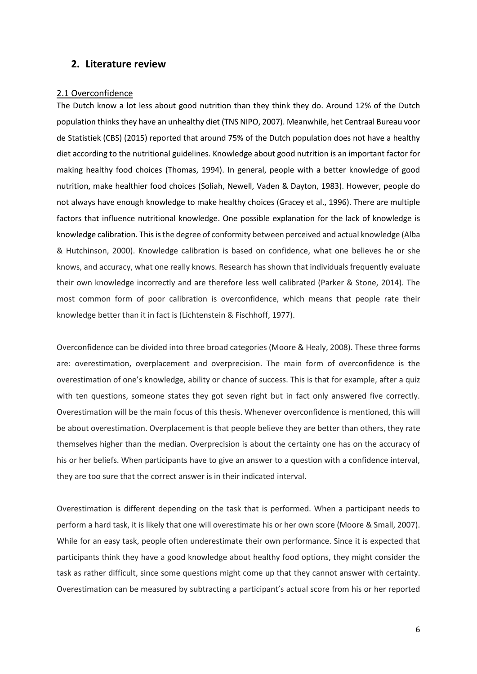# <span id="page-5-0"></span>**2. Literature review**

### <span id="page-5-1"></span>2.1 Overconfidence

The Dutch know a lot less about good nutrition than they think they do. Around 12% of the Dutch population thinks they have an unhealthy diet (TNS NIPO, 2007). Meanwhile, het Centraal Bureau voor de Statistiek (CBS) (2015) reported that around 75% of the Dutch population does not have a healthy diet according to the nutritional guidelines. Knowledge about good nutrition is an important factor for making healthy food choices (Thomas, 1994). In general, people with a better knowledge of good nutrition, make healthier food choices (Soliah, Newell, Vaden & Dayton, 1983). However, people do not always have enough knowledge to make healthy choices (Gracey et al., 1996). There are multiple factors that influence nutritional knowledge. One possible explanation for the lack of knowledge is knowledge calibration. This is the degree of conformity between perceived and actual knowledge (Alba & Hutchinson, 2000). Knowledge calibration is based on confidence, what one believes he or she knows, and accuracy, what one really knows. Research has shown that individuals frequently evaluate their own knowledge incorrectly and are therefore less well calibrated (Parker & Stone, 2014). The most common form of poor calibration is overconfidence, which means that people rate their knowledge better than it in fact is (Lichtenstein & Fischhoff, 1977).

Overconfidence can be divided into three broad categories (Moore & Healy, 2008). These three forms are: overestimation, overplacement and overprecision. The main form of overconfidence is the overestimation of one's knowledge, ability or chance of success. This is that for example, after a quiz with ten questions, someone states they got seven right but in fact only answered five correctly. Overestimation will be the main focus of this thesis. Whenever overconfidence is mentioned, this will be about overestimation. Overplacement is that people believe they are better than others, they rate themselves higher than the median. Overprecision is about the certainty one has on the accuracy of his or her beliefs. When participants have to give an answer to a question with a confidence interval, they are too sure that the correct answer is in their indicated interval.

Overestimation is different depending on the task that is performed. When a participant needs to perform a hard task, it is likely that one will overestimate his or her own score (Moore & Small, 2007). While for an easy task, people often underestimate their own performance. Since it is expected that participants think they have a good knowledge about healthy food options, they might consider the task as rather difficult, since some questions might come up that they cannot answer with certainty. Overestimation can be measured by subtracting a participant's actual score from his or her reported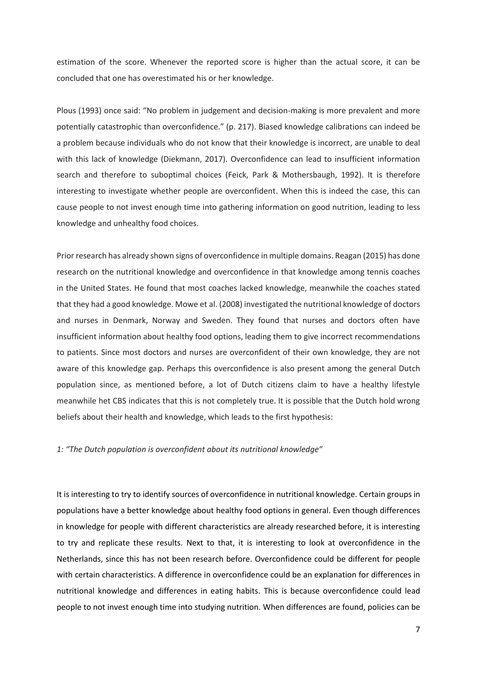estimation of the score. Whenever the reported score is higher than the actual score, it can be concluded that one has overestimated his or her knowledge.

Plous (1993) once said: "No problem in judgement and decision-making is more prevalent and more potentially catastrophic than overconfidence." (p. 217). Biased knowledge calibrations can indeed be a problem because individuals who do not know that their knowledge is incorrect, are unable to deal with this lack of knowledge (Diekmann, 2017). Overconfidence can lead to insufficient information search and therefore to suboptimal choices (Feick, Park & Mothersbaugh, 1992). It is therefore interesting to investigate whether people are overconfident. When this is indeed the case, this can cause people to not invest enough time into gathering information on good nutrition, leading to less knowledge and unhealthy food choices.

Prior research has already shown signs of overconfidence in multiple domains. Reagan (2015) has done research on the nutritional knowledge and overconfidence in that knowledge among tennis coaches in the United States. He found that most coaches lacked knowledge, meanwhile the coaches stated that they had a good knowledge. Mowe et al. (2008) investigated the nutritional knowledge of doctors and nurses in Denmark, Norway and Sweden. They found that nurses and doctors often have insufficient information about healthy food options, leading them to give incorrect recommendations to patients. Since most doctors and nurses are overconfident of their own knowledge, they are not aware of this knowledge gap. Perhaps this overconfidence is also present among the general Dutch population since, as mentioned before, a lot of Dutch citizens claim to have a healthy lifestyle meanwhile het CBS indicates that this is not completely true. It is possible that the Dutch hold wrong beliefs about their health and knowledge, which leads to the first hypothesis:

#### *1: "The Dutch population is overconfident about its nutritional knowledge"*

It is interesting to try to identify sources of overconfidence in nutritional knowledge. Certain groups in populations have a better knowledge about healthy food options in general. Even though differences in knowledge for people with different characteristics are already researched before, it is interesting to try and replicate these results. Next to that, it is interesting to look at overconfidence in the Netherlands, since this has not been research before. Overconfidence could be different for people with certain characteristics. A difference in overconfidence could be an explanation for differences in nutritional knowledge and differences in eating habits. This is because overconfidence could lead people to not invest enough time into studying nutrition. When differences are found, policies can be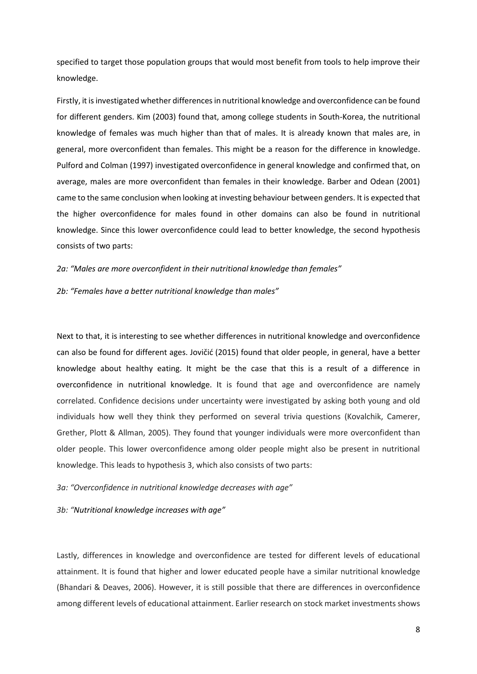specified to target those population groups that would most benefit from tools to help improve their knowledge.

Firstly, it is investigated whether differences in nutritional knowledge and overconfidence can be found for different genders. Kim (2003) found that, among college students in South-Korea, the nutritional knowledge of females was much higher than that of males. It is already known that males are, in general, more overconfident than females. This might be a reason for the difference in knowledge. Pulford and Colman (1997) investigated overconfidence in general knowledge and confirmed that, on average, males are more overconfident than females in their knowledge. Barber and Odean (2001) came to the same conclusion when looking at investing behaviour between genders. It is expected that the higher overconfidence for males found in other domains can also be found in nutritional knowledge. Since this lower overconfidence could lead to better knowledge, the second hypothesis consists of two parts:

*2a: "Males are more overconfident in their nutritional knowledge than females"*

*2b: "Females have a better nutritional knowledge than males"*

Next to that, it is interesting to see whether differences in nutritional knowledge and overconfidence can also be found for different ages. Jovičić (2015) found that older people, in general, have a better knowledge about healthy eating. It might be the case that this is a result of a difference in overconfidence in nutritional knowledge. It is found that age and overconfidence are namely correlated. Confidence decisions under uncertainty were investigated by asking both young and old individuals how well they think they performed on several trivia questions (Kovalchik, Camerer, Grether, Plott & Allman, 2005). They found that younger individuals were more overconfident than older people. This lower overconfidence among older people might also be present in nutritional knowledge. This leads to hypothesis 3, which also consists of two parts:

*3a: "Overconfidence in nutritional knowledge decreases with age"*

*3b: "Nutritional knowledge increases with age"*

Lastly, differences in knowledge and overconfidence are tested for different levels of educational attainment. It is found that higher and lower educated people have a similar nutritional knowledge (Bhandari & Deaves, 2006). However, it is still possible that there are differences in overconfidence among different levels of educational attainment. Earlier research on stock market investments shows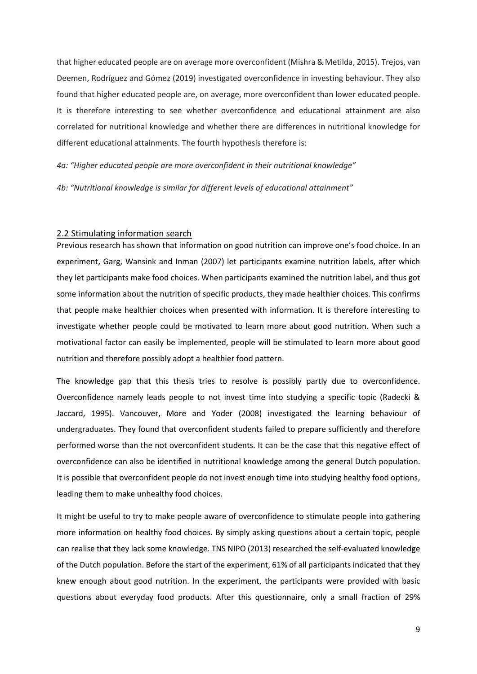that higher educated people are on average more overconfident (Mishra & Metilda, 2015). Trejos, van Deemen, Rodríguez and Gómez (2019) investigated overconfidence in investing behaviour. They also found that higher educated people are, on average, more overconfident than lower educated people. It is therefore interesting to see whether overconfidence and educational attainment are also correlated for nutritional knowledge and whether there are differences in nutritional knowledge for different educational attainments. The fourth hypothesis therefore is:

*4a: "Higher educated people are more overconfident in their nutritional knowledge"*

*4b: "Nutritional knowledge is similar for different levels of educational attainment"*

### <span id="page-8-0"></span>2.2 Stimulating information search

Previous research has shown that information on good nutrition can improve one's food choice. In an experiment, Garg, Wansink and Inman (2007) let participants examine nutrition labels, after which they let participants make food choices. When participants examined the nutrition label, and thus got some information about the nutrition of specific products, they made healthier choices. This confirms that people make healthier choices when presented with information. It is therefore interesting to investigate whether people could be motivated to learn more about good nutrition. When such a motivational factor can easily be implemented, people will be stimulated to learn more about good nutrition and therefore possibly adopt a healthier food pattern.

The knowledge gap that this thesis tries to resolve is possibly partly due to overconfidence. Overconfidence namely leads people to not invest time into studying a specific topic (Radecki & Jaccard, 1995). Vancouver, More and Yoder (2008) investigated the learning behaviour of undergraduates. They found that overconfident students failed to prepare sufficiently and therefore performed worse than the not overconfident students. It can be the case that this negative effect of overconfidence can also be identified in nutritional knowledge among the general Dutch population. It is possible that overconfident people do not invest enough time into studying healthy food options, leading them to make unhealthy food choices.

It might be useful to try to make people aware of overconfidence to stimulate people into gathering more information on healthy food choices. By simply asking questions about a certain topic, people can realise that they lack some knowledge. TNS NIPO (2013) researched the self-evaluated knowledge of the Dutch population. Before the start of the experiment, 61% of all participants indicated that they knew enough about good nutrition. In the experiment, the participants were provided with basic questions about everyday food products. After this questionnaire, only a small fraction of 29%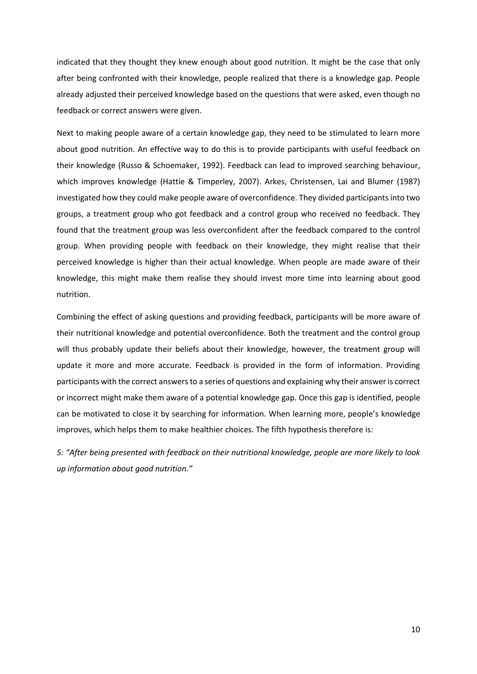indicated that they thought they knew enough about good nutrition. It might be the case that only after being confronted with their knowledge, people realized that there is a knowledge gap. People already adjusted their perceived knowledge based on the questions that were asked, even though no feedback or correct answers were given.

Next to making people aware of a certain knowledge gap, they need to be stimulated to learn more about good nutrition. An effective way to do this is to provide participants with useful feedback on their knowledge (Russo & Schoemaker, 1992). Feedback can lead to improved searching behaviour, which improves knowledge (Hattie & Timperley, 2007). Arkes, Christensen, Lai and Blumer (1987) investigated how they could make people aware of overconfidence. They divided participants into two groups, a treatment group who got feedback and a control group who received no feedback. They found that the treatment group was less overconfident after the feedback compared to the control group. When providing people with feedback on their knowledge, they might realise that their perceived knowledge is higher than their actual knowledge. When people are made aware of their knowledge, this might make them realise they should invest more time into learning about good nutrition.

Combining the effect of asking questions and providing feedback, participants will be more aware of their nutritional knowledge and potential overconfidence. Both the treatment and the control group will thus probably update their beliefs about their knowledge, however, the treatment group will update it more and more accurate. Feedback is provided in the form of information. Providing participants with the correct answers to a series of questions and explaining why their answer is correct or incorrect might make them aware of a potential knowledge gap. Once this gap is identified, people can be motivated to close it by searching for information. When learning more, people's knowledge improves, which helps them to make healthier choices. The fifth hypothesis therefore is:

*5: "After being presented with feedback on their nutritional knowledge, people are more likely to look up information about good nutrition."*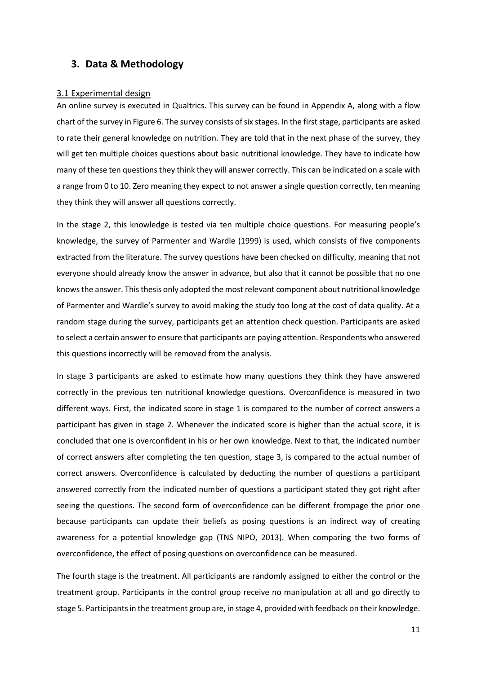# <span id="page-10-0"></span>**3. Data & Methodology**

#### <span id="page-10-1"></span>3.1 Experimental design

An online survey is executed in Qualtrics. This survey can be found in Appendix A, along with a flow chart of the survey in Figure 6. The survey consists of six stages. In the first stage, participants are asked to rate their general knowledge on nutrition. They are told that in the next phase of the survey, they will get ten multiple choices questions about basic nutritional knowledge. They have to indicate how many of these ten questions they think they will answer correctly. This can be indicated on a scale with a range from 0 to 10. Zero meaning they expect to not answer a single question correctly, ten meaning they think they will answer all questions correctly.

In the stage 2, this knowledge is tested via ten multiple choice questions. For measuring people's knowledge, the survey of Parmenter and Wardle (1999) is used, which consists of five components extracted from the literature. The survey questions have been checked on difficulty, meaning that not everyone should already know the answer in advance, but also that it cannot be possible that no one knows the answer. This thesis only adopted the most relevant component about nutritional knowledge of Parmenter and Wardle's survey to avoid making the study too long at the cost of data quality. At a random stage during the survey, participants get an attention check question. Participants are asked to select a certain answer to ensure that participants are paying attention. Respondents who answered this questions incorrectly will be removed from the analysis.

In stage 3 participants are asked to estimate how many questions they think they have answered correctly in the previous ten nutritional knowledge questions. Overconfidence is measured in two different ways. First, the indicated score in stage 1 is compared to the number of correct answers a participant has given in stage 2. Whenever the indicated score is higher than the actual score, it is concluded that one is overconfident in his or her own knowledge. Next to that, the indicated number of correct answers after completing the ten question, stage 3, is compared to the actual number of correct answers. Overconfidence is calculated by deducting the number of questions a participant answered correctly from the indicated number of questions a participant stated they got right after seeing the questions. The second form of overconfidence can be different frompage the prior one because participants can update their beliefs as posing questions is an indirect way of creating awareness for a potential knowledge gap (TNS NIPO, 2013). When comparing the two forms of overconfidence, the effect of posing questions on overconfidence can be measured.

The fourth stage is the treatment. All participants are randomly assigned to either the control or the treatment group. Participants in the control group receive no manipulation at all and go directly to stage 5. Participants in the treatment group are, in stage 4, provided with feedback on their knowledge.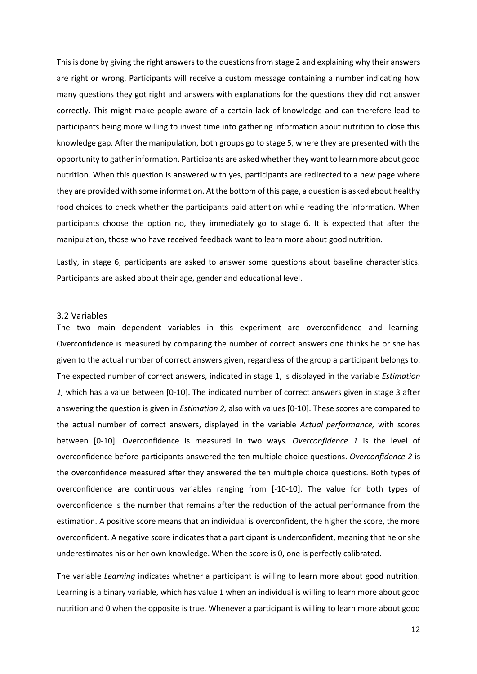This is done by giving the right answers to the questions from stage 2 and explaining why their answers are right or wrong. Participants will receive a custom message containing a number indicating how many questions they got right and answers with explanations for the questions they did not answer correctly. This might make people aware of a certain lack of knowledge and can therefore lead to participants being more willing to invest time into gathering information about nutrition to close this knowledge gap. After the manipulation, both groups go to stage 5, where they are presented with the opportunity to gather information. Participants are asked whether they want to learn more about good nutrition. When this question is answered with yes, participants are redirected to a new page where they are provided with some information. At the bottom of this page, a question is asked about healthy food choices to check whether the participants paid attention while reading the information. When participants choose the option no, they immediately go to stage 6. It is expected that after the manipulation, those who have received feedback want to learn more about good nutrition.

Lastly, in stage 6, participants are asked to answer some questions about baseline characteristics. Participants are asked about their age, gender and educational level.

#### <span id="page-11-0"></span>3.2 Variables

The two main dependent variables in this experiment are overconfidence and learning. Overconfidence is measured by comparing the number of correct answers one thinks he or she has given to the actual number of correct answers given, regardless of the group a participant belongs to. The expected number of correct answers, indicated in stage 1, is displayed in the variable *Estimation 1,* which has a value between [0-10]. The indicated number of correct answers given in stage 3 after answering the question is given in *Estimation 2,* also with values [0-10]. These scores are compared to the actual number of correct answers, displayed in the variable *Actual performance,* with scores between [0-10]. Overconfidence is measured in two ways*. Overconfidence 1* is the level of overconfidence before participants answered the ten multiple choice questions. *Overconfidence 2* is the overconfidence measured after they answered the ten multiple choice questions. Both types of overconfidence are continuous variables ranging from [-10-10]. The value for both types of overconfidence is the number that remains after the reduction of the actual performance from the estimation. A positive score means that an individual is overconfident, the higher the score, the more overconfident. A negative score indicates that a participant is underconfident, meaning that he or she underestimates his or her own knowledge. When the score is 0, one is perfectly calibrated.

The variable *Learning* indicates whether a participant is willing to learn more about good nutrition. Learning is a binary variable, which has value 1 when an individual is willing to learn more about good nutrition and 0 when the opposite is true. Whenever a participant is willing to learn more about good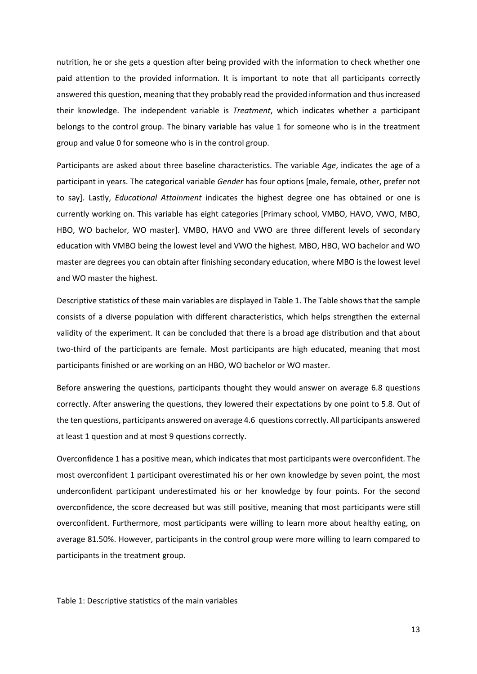nutrition, he or she gets a question after being provided with the information to check whether one paid attention to the provided information. It is important to note that all participants correctly answered this question, meaning that they probably read the provided information and thus increased their knowledge. The independent variable is *Treatment*, which indicates whether a participant belongs to the control group. The binary variable has value 1 for someone who is in the treatment group and value 0 for someone who is in the control group.

Participants are asked about three baseline characteristics. The variable *Age*, indicates the age of a participant in years. The categorical variable *Gender* has four options [male, female, other, prefer not to say]. Lastly, *Educational Attainment* indicates the highest degree one has obtained or one is currently working on. This variable has eight categories [Primary school, VMBO, HAVO, VWO, MBO, HBO, WO bachelor, WO master]. VMBO, HAVO and VWO are three different levels of secondary education with VMBO being the lowest level and VWO the highest. MBO, HBO, WO bachelor and WO master are degrees you can obtain after finishing secondary education, where MBO is the lowest level and WO master the highest.

Descriptive statistics of these main variables are displayed in Table 1. The Table shows that the sample consists of a diverse population with different characteristics, which helps strengthen the external validity of the experiment. It can be concluded that there is a broad age distribution and that about two-third of the participants are female. Most participants are high educated, meaning that most participants finished or are working on an HBO, WO bachelor or WO master.

Before answering the questions, participants thought they would answer on average 6.8 questions correctly. After answering the questions, they lowered their expectations by one point to 5.8. Out of the ten questions, participants answered on average 4.6 questions correctly. All participants answered at least 1 question and at most 9 questions correctly.

Overconfidence 1 has a positive mean, which indicates that most participants were overconfident. The most overconfident 1 participant overestimated his or her own knowledge by seven point, the most underconfident participant underestimated his or her knowledge by four points. For the second overconfidence, the score decreased but was still positive, meaning that most participants were still overconfident. Furthermore, most participants were willing to learn more about healthy eating, on average 81.50%. However, participants in the control group were more willing to learn compared to participants in the treatment group.

Table 1: Descriptive statistics of the main variables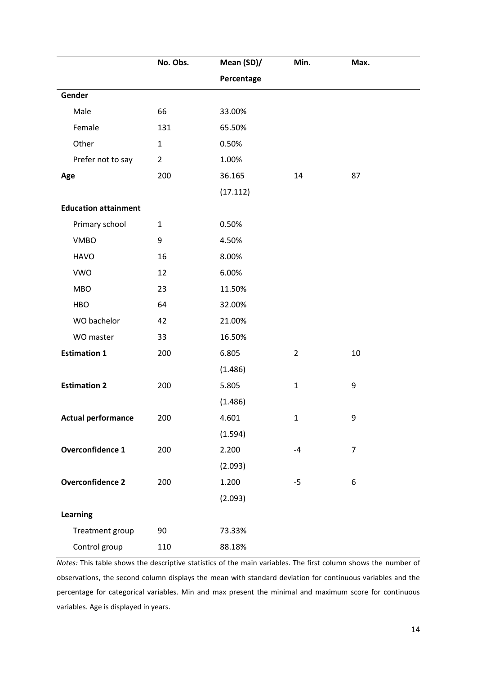|                             | No. Obs.       | Mean (SD)/ | Min.           | Max.           |  |
|-----------------------------|----------------|------------|----------------|----------------|--|
|                             |                | Percentage |                |                |  |
| Gender                      |                |            |                |                |  |
| Male                        | 66             | 33.00%     |                |                |  |
| Female                      | 131            | 65.50%     |                |                |  |
| Other                       | $\mathbf{1}$   | 0.50%      |                |                |  |
| Prefer not to say           | $\overline{2}$ | 1.00%      |                |                |  |
| Age                         | 200            | 36.165     | 14             | 87             |  |
|                             |                | (17.112)   |                |                |  |
| <b>Education attainment</b> |                |            |                |                |  |
| Primary school              | $\mathbf{1}$   | 0.50%      |                |                |  |
| <b>VMBO</b>                 | 9              | 4.50%      |                |                |  |
| <b>HAVO</b>                 | 16             | 8.00%      |                |                |  |
| <b>VWO</b>                  | 12             | 6.00%      |                |                |  |
| <b>MBO</b>                  | 23             | 11.50%     |                |                |  |
| <b>HBO</b>                  | 64             | 32.00%     |                |                |  |
| WO bachelor                 | 42             | 21.00%     |                |                |  |
| WO master                   | 33             | 16.50%     |                |                |  |
| <b>Estimation 1</b>         | 200            | 6.805      | $\overline{2}$ | 10             |  |
|                             |                | (1.486)    |                |                |  |
| <b>Estimation 2</b>         | 200            | 5.805      | $\mathbf 1$    | 9              |  |
|                             |                | (1.486)    |                |                |  |
| <b>Actual performance</b>   | 200            | 4.601      | $\mathbf{1}$   | 9              |  |
|                             |                | (1.594)    |                |                |  |
| <b>Overconfidence 1</b>     | 200            | 2.200      | $-4$           | $\overline{7}$ |  |
|                             |                | (2.093)    |                |                |  |
| <b>Overconfidence 2</b>     | 200            | 1.200      | $-5$           | 6              |  |
|                             |                | (2.093)    |                |                |  |
| Learning                    |                |            |                |                |  |
| Treatment group             | 90             | 73.33%     |                |                |  |
| Control group               | 110            | 88.18%     |                |                |  |

*Notes:* This table shows the descriptive statistics of the main variables. The first column shows the number of observations, the second column displays the mean with standard deviation for continuous variables and the percentage for categorical variables. Min and max present the minimal and maximum score for continuous variables. Age is displayed in years.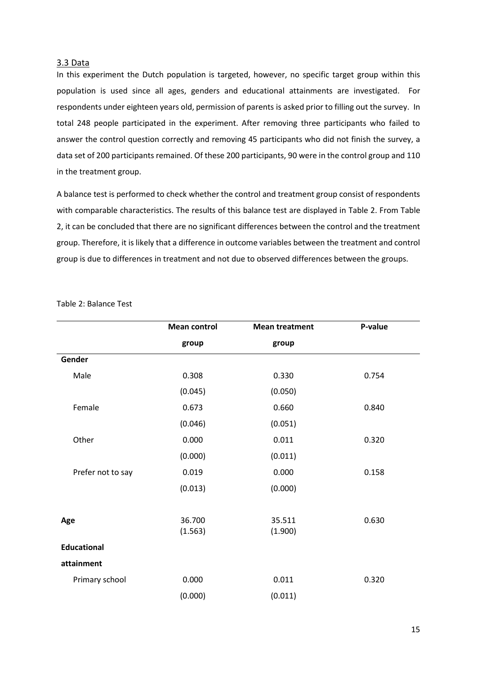### <span id="page-14-0"></span>3.3 Data

In this experiment the Dutch population is targeted, however, no specific target group within this population is used since all ages, genders and educational attainments are investigated. For respondents under eighteen years old, permission of parents is asked prior to filling out the survey. In total 248 people participated in the experiment. After removing three participants who failed to answer the control question correctly and removing 45 participants who did not finish the survey, a data set of 200 participants remained. Of these 200 participants, 90 were in the control group and 110 in the treatment group.

A balance test is performed to check whether the control and treatment group consist of respondents with comparable characteristics. The results of this balance test are displayed in Table 2. From Table 2, it can be concluded that there are no significant differences between the control and the treatment group. Therefore, it is likely that a difference in outcome variables between the treatment and control group is due to differences in treatment and not due to observed differences between the groups.

|                    | <b>Mean control</b> | <b>Mean treatment</b> | P-value |
|--------------------|---------------------|-----------------------|---------|
|                    | group               | group                 |         |
| Gender             |                     |                       |         |
| Male               | 0.308               | 0.330                 | 0.754   |
|                    | (0.045)             | (0.050)               |         |
| Female             | 0.673               | 0.660                 | 0.840   |
|                    | (0.046)             | (0.051)               |         |
| Other              | 0.000               | 0.011                 | 0.320   |
|                    | (0.000)             | (0.011)               |         |
| Prefer not to say  | 0.019               | 0.000                 | 0.158   |
|                    | (0.013)             | (0.000)               |         |
|                    |                     |                       |         |
| Age                | 36.700<br>(1.563)   | 35.511<br>(1.900)     | 0.630   |
| <b>Educational</b> |                     |                       |         |
| attainment         |                     |                       |         |
| Primary school     | 0.000               | 0.011                 | 0.320   |
|                    | (0.000)             | (0.011)               |         |

Table 2: Balance Test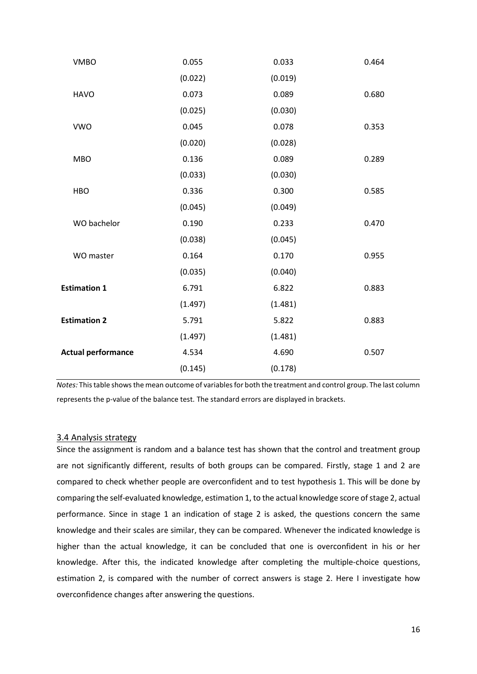| <b>VMBO</b>               | 0.055   | 0.033   | 0.464 |
|---------------------------|---------|---------|-------|
|                           | (0.022) | (0.019) |       |
| <b>HAVO</b>               | 0.073   | 0.089   | 0.680 |
|                           | (0.025) | (0.030) |       |
| <b>VWO</b>                | 0.045   | 0.078   | 0.353 |
|                           | (0.020) | (0.028) |       |
| <b>MBO</b>                | 0.136   | 0.089   | 0.289 |
|                           | (0.033) | (0.030) |       |
| <b>HBO</b>                | 0.336   | 0.300   | 0.585 |
|                           | (0.045) | (0.049) |       |
| WO bachelor               | 0.190   | 0.233   | 0.470 |
|                           | (0.038) | (0.045) |       |
| WO master                 | 0.164   | 0.170   | 0.955 |
|                           | (0.035) | (0.040) |       |
| <b>Estimation 1</b>       | 6.791   | 6.822   | 0.883 |
|                           | (1.497) | (1.481) |       |
| <b>Estimation 2</b>       | 5.791   | 5.822   | 0.883 |
|                           | (1.497) | (1.481) |       |
| <b>Actual performance</b> | 4.534   | 4.690   | 0.507 |
|                           | (0.145) | (0.178) |       |
|                           |         |         |       |

*Notes:* This table shows the mean outcome of variables for both the treatment and control group. The last column represents the p-value of the balance test. The standard errors are displayed in brackets.

### <span id="page-15-0"></span>3.4 Analysis strategy

Since the assignment is random and a balance test has shown that the control and treatment group are not significantly different, results of both groups can be compared. Firstly, stage 1 and 2 are compared to check whether people are overconfident and to test hypothesis 1. This will be done by comparing the self-evaluated knowledge, estimation 1, to the actual knowledge score of stage 2, actual performance. Since in stage 1 an indication of stage 2 is asked, the questions concern the same knowledge and their scales are similar, they can be compared. Whenever the indicated knowledge is higher than the actual knowledge, it can be concluded that one is overconfident in his or her knowledge. After this, the indicated knowledge after completing the multiple-choice questions, estimation 2, is compared with the number of correct answers is stage 2. Here I investigate how overconfidence changes after answering the questions.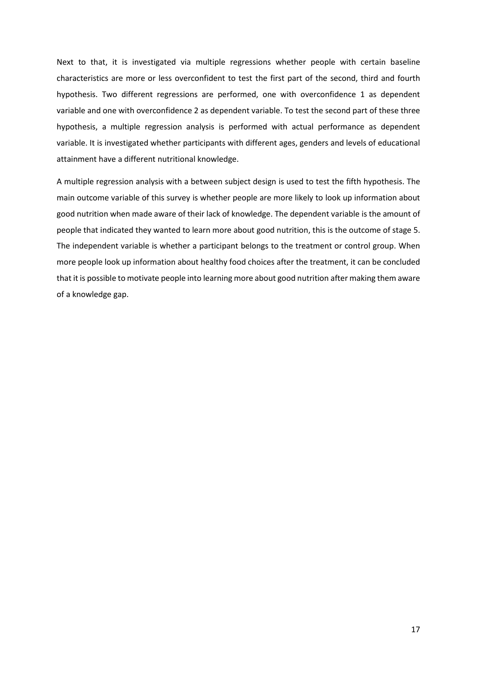Next to that, it is investigated via multiple regressions whether people with certain baseline characteristics are more or less overconfident to test the first part of the second, third and fourth hypothesis. Two different regressions are performed, one with overconfidence 1 as dependent variable and one with overconfidence 2 as dependent variable. To test the second part of these three hypothesis, a multiple regression analysis is performed with actual performance as dependent variable. It is investigated whether participants with different ages, genders and levels of educational attainment have a different nutritional knowledge.

A multiple regression analysis with a between subject design is used to test the fifth hypothesis. The main outcome variable of this survey is whether people are more likely to look up information about good nutrition when made aware of their lack of knowledge. The dependent variable is the amount of people that indicated they wanted to learn more about good nutrition, this is the outcome of stage 5. The independent variable is whether a participant belongs to the treatment or control group. When more people look up information about healthy food choices after the treatment, it can be concluded that it is possible to motivate people into learning more about good nutrition after making them aware of a knowledge gap.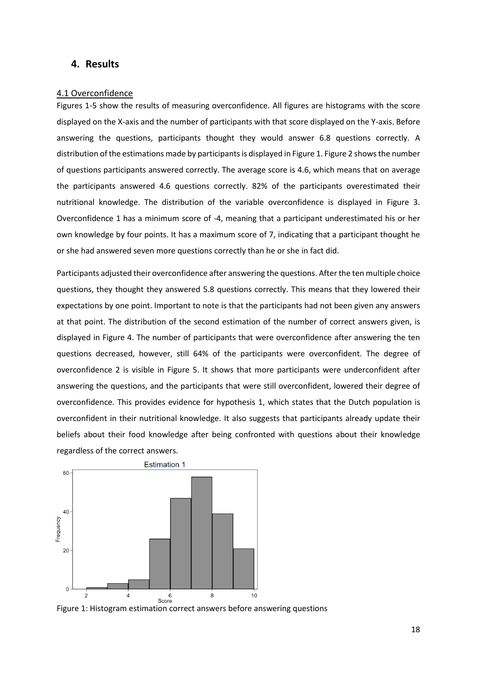# <span id="page-17-0"></span>**4. Results**

### <span id="page-17-1"></span>4.1 Overconfidence

Figures 1-5 show the results of measuring overconfidence. All figures are histograms with the score displayed on the X-axis and the number of participants with that score displayed on the Y-axis. Before answering the questions, participants thought they would answer 6.8 questions correctly. A distribution of the estimations made by participants is displayed in Figure 1. Figure 2 shows the number of questions participants answered correctly. The average score is 4.6, which means that on average the participants answered 4.6 questions correctly. 82% of the participants overestimated their nutritional knowledge. The distribution of the variable overconfidence is displayed in Figure 3. Overconfidence 1 has a minimum score of -4, meaning that a participant underestimated his or her own knowledge by four points. It has a maximum score of 7, indicating that a participant thought he or she had answered seven more questions correctly than he or she in fact did.

Participants adjusted their overconfidence after answering the questions. After the ten multiple choice questions, they thought they answered 5.8 questions correctly. This means that they lowered their expectations by one point. Important to note is that the participants had not been given any answers at that point. The distribution of the second estimation of the number of correct answers given, is displayed in Figure 4. The number of participants that were overconfidence after answering the ten questions decreased, however, still 64% of the participants were overconfident. The degree of overconfidence 2 is visible in Figure 5. It shows that more participants were underconfident after answering the questions, and the participants that were still overconfident, lowered their degree of overconfidence. This provides evidence for hypothesis 1, which states that the Dutch population is overconfident in their nutritional knowledge. It also suggests that participants already update their beliefs about their food knowledge after being confronted with questions about their knowledge regardless of the correct answers.



Figure 1: Histogram estimation correct answers before answering questions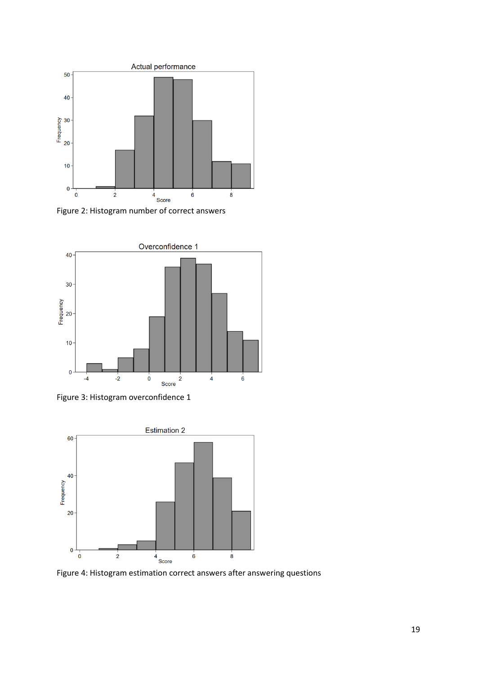



Figure 3: Histogram overconfidence 1



Figure 4: Histogram estimation correct answers after answering questions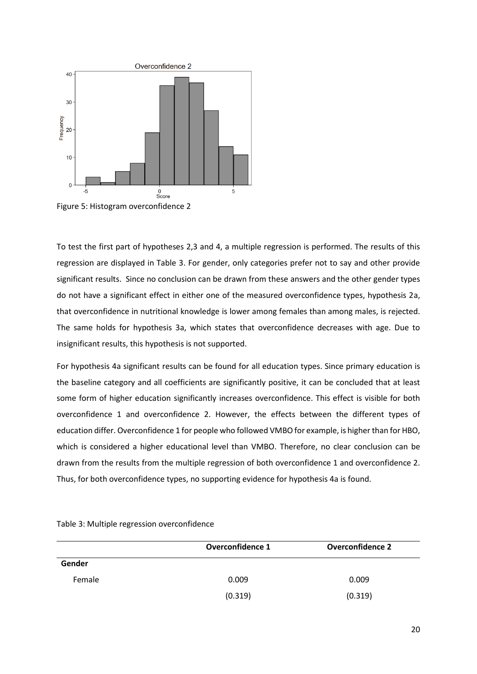

Figure 5: Histogram overconfidence 2

To test the first part of hypotheses 2,3 and 4, a multiple regression is performed. The results of this regression are displayed in Table 3. For gender, only categories prefer not to say and other provide significant results. Since no conclusion can be drawn from these answers and the other gender types do not have a significant effect in either one of the measured overconfidence types, hypothesis 2a, that overconfidence in nutritional knowledge is lower among females than among males, is rejected. The same holds for hypothesis 3a, which states that overconfidence decreases with age. Due to insignificant results, this hypothesis is not supported.

For hypothesis 4a significant results can be found for all education types. Since primary education is the baseline category and all coefficients are significantly positive, it can be concluded that at least some form of higher education significantly increases overconfidence. This effect is visible for both overconfidence 1 and overconfidence 2. However, the effects between the different types of education differ. Overconfidence 1 for people who followed VMBO for example, is higher than for HBO, which is considered a higher educational level than VMBO. Therefore, no clear conclusion can be drawn from the results from the multiple regression of both overconfidence 1 and overconfidence 2. Thus, for both overconfidence types, no supporting evidence for hypothesis 4a is found.

|        | <b>Overconfidence 1</b> | <b>Overconfidence 2</b> |
|--------|-------------------------|-------------------------|
| Gender |                         |                         |
| Female | 0.009                   | 0.009                   |
|        | (0.319)                 | (0.319)                 |

Table 3: Multiple regression overconfidence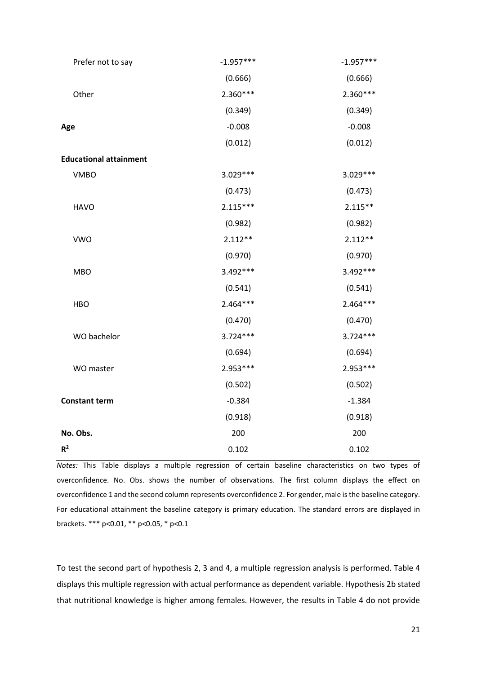| Prefer not to say             | $-1.957***$ | $-1.957***$ |
|-------------------------------|-------------|-------------|
|                               | (0.666)     | (0.666)     |
| Other                         | 2.360***    | 2.360***    |
|                               | (0.349)     | (0.349)     |
| Age                           | $-0.008$    | $-0.008$    |
|                               | (0.012)     | (0.012)     |
| <b>Educational attainment</b> |             |             |
| <b>VMBO</b>                   | $3.029***$  | 3.029 ***   |
|                               | (0.473)     | (0.473)     |
| <b>HAVO</b>                   | $2.115***$  | $2.115***$  |
|                               | (0.982)     | (0.982)     |
| <b>VWO</b>                    | $2.112**$   | $2.112**$   |
|                               | (0.970)     | (0.970)     |
| <b>MBO</b>                    | $3.492***$  | $3.492***$  |
|                               | (0.541)     | (0.541)     |
| <b>HBO</b>                    | $2.464***$  | 2.464***    |
|                               | (0.470)     | (0.470)     |
| WO bachelor                   | $3.724***$  | $3.724***$  |
|                               | (0.694)     | (0.694)     |
| WO master                     | 2.953 ***   | 2.953 ***   |
|                               | (0.502)     | (0.502)     |
| <b>Constant term</b>          | $-0.384$    | $-1.384$    |
|                               | (0.918)     | (0.918)     |
| No. Obs.                      | 200         | 200         |
| $R^2$                         | 0.102       | 0.102       |

*Notes:* This Table displays a multiple regression of certain baseline characteristics on two types of overconfidence. No. Obs. shows the number of observations. The first column displays the effect on overconfidence 1 and the second column represents overconfidence 2. For gender, male is the baseline category. For educational attainment the baseline category is primary education. The standard errors are displayed in brackets. \*\*\* p<0.01, \*\* p<0.05, \* p<0.1

To test the second part of hypothesis 2, 3 and 4, a multiple regression analysis is performed. Table 4 displays this multiple regression with actual performance as dependent variable. Hypothesis 2b stated that nutritional knowledge is higher among females. However, the results in Table 4 do not provide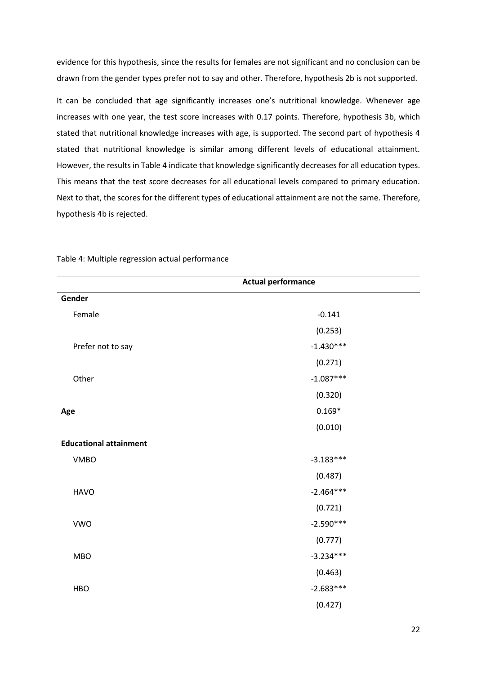evidence for this hypothesis, since the results for females are not significant and no conclusion can be drawn from the gender types prefer not to say and other. Therefore, hypothesis 2b is not supported.

It can be concluded that age significantly increases one's nutritional knowledge. Whenever age increases with one year, the test score increases with 0.17 points. Therefore, hypothesis 3b, which stated that nutritional knowledge increases with age, is supported. The second part of hypothesis 4 stated that nutritional knowledge is similar among different levels of educational attainment. However, the results in Table 4 indicate that knowledge significantly decreases for all education types. This means that the test score decreases for all educational levels compared to primary education. Next to that, the scores for the different types of educational attainment are not the same. Therefore, hypothesis 4b is rejected.

| <b>Actual performance</b>     |             |  |
|-------------------------------|-------------|--|
| Gender                        |             |  |
| Female                        | $-0.141$    |  |
|                               | (0.253)     |  |
| Prefer not to say             | $-1.430***$ |  |
|                               | (0.271)     |  |
| Other                         | $-1.087***$ |  |
|                               | (0.320)     |  |
| Age                           | $0.169*$    |  |
|                               | (0.010)     |  |
| <b>Educational attainment</b> |             |  |
| <b>VMBO</b>                   | $-3.183***$ |  |
|                               | (0.487)     |  |
| <b>HAVO</b>                   | $-2.464***$ |  |
|                               | (0.721)     |  |
| <b>VWO</b>                    | $-2.590***$ |  |
|                               | (0.777)     |  |
| <b>MBO</b>                    | $-3.234***$ |  |
|                               | (0.463)     |  |
| <b>HBO</b>                    | $-2.683***$ |  |
|                               | (0.427)     |  |

Table 4: Multiple regression actual performance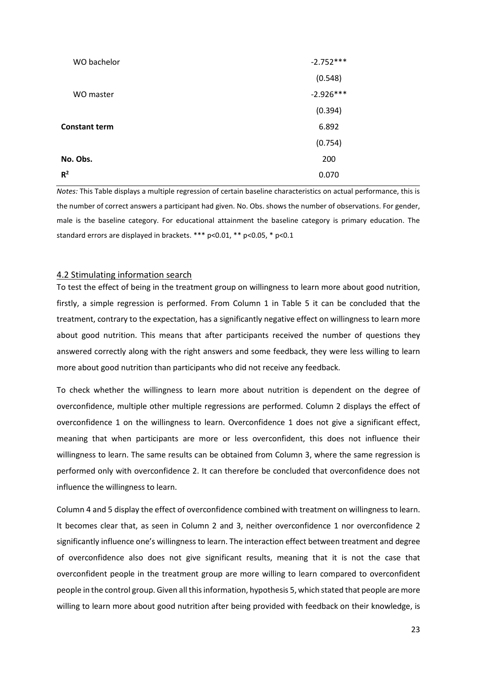| WO bachelor          | $-2.752***$ |
|----------------------|-------------|
|                      | (0.548)     |
| WO master            | $-2.926***$ |
|                      | (0.394)     |
| <b>Constant term</b> | 6.892       |
|                      | (0.754)     |
| No. Obs.             | 200         |
| R <sup>2</sup>       | 0.070       |

*Notes:* This Table displays a multiple regression of certain baseline characteristics on actual performance, this is the number of correct answers a participant had given. No. Obs. shows the number of observations. For gender, male is the baseline category. For educational attainment the baseline category is primary education. The standard errors are displayed in brackets. \*\*\* p<0.01, \*\* p<0.05, \* p<0.1

### <span id="page-22-0"></span>4.2 Stimulating information search

To test the effect of being in the treatment group on willingness to learn more about good nutrition, firstly, a simple regression is performed. From Column 1 in Table 5 it can be concluded that the treatment, contrary to the expectation, has a significantly negative effect on willingness to learn more about good nutrition. This means that after participants received the number of questions they answered correctly along with the right answers and some feedback, they were less willing to learn more about good nutrition than participants who did not receive any feedback.

To check whether the willingness to learn more about nutrition is dependent on the degree of overconfidence, multiple other multiple regressions are performed. Column 2 displays the effect of overconfidence 1 on the willingness to learn. Overconfidence 1 does not give a significant effect, meaning that when participants are more or less overconfident, this does not influence their willingness to learn. The same results can be obtained from Column 3, where the same regression is performed only with overconfidence 2. It can therefore be concluded that overconfidence does not influence the willingness to learn.

Column 4 and 5 display the effect of overconfidence combined with treatment on willingness to learn. It becomes clear that, as seen in Column 2 and 3, neither overconfidence 1 nor overconfidence 2 significantly influence one's willingness to learn. The interaction effect between treatment and degree of overconfidence also does not give significant results, meaning that it is not the case that overconfident people in the treatment group are more willing to learn compared to overconfident people in the control group. Given all this information, hypothesis 5, which stated that people are more willing to learn more about good nutrition after being provided with feedback on their knowledge, is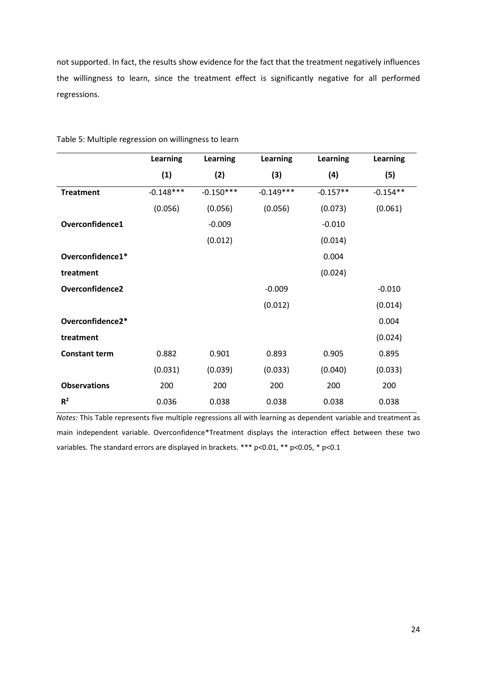not supported. In fact, the results show evidence for the fact that the treatment negatively influences the willingness to learn, since the treatment effect is significantly negative for all performed regressions.

|                      | Learning    | <b>Learning</b> | Learning    | <b>Learning</b> | <b>Learning</b> |
|----------------------|-------------|-----------------|-------------|-----------------|-----------------|
|                      | (1)         | (2)             | (3)         | (4)             | (5)             |
| <b>Treatment</b>     | $-0.148***$ | $-0.150***$     | $-0.149***$ | $-0.157**$      | $-0.154**$      |
|                      | (0.056)     | (0.056)         | (0.056)     | (0.073)         | (0.061)         |
| Overconfidence1      |             | $-0.009$        |             | $-0.010$        |                 |
|                      |             | (0.012)         |             | (0.014)         |                 |
| Overconfidence1*     |             |                 |             | 0.004           |                 |
| treatment            |             |                 |             | (0.024)         |                 |
| Overconfidence2      |             |                 | $-0.009$    |                 | $-0.010$        |
|                      |             |                 | (0.012)     |                 | (0.014)         |
| Overconfidence2*     |             |                 |             |                 | 0.004           |
| treatment            |             |                 |             |                 | (0.024)         |
| <b>Constant term</b> | 0.882       | 0.901           | 0.893       | 0.905           | 0.895           |
|                      | (0.031)     | (0.039)         | (0.033)     | (0.040)         | (0.033)         |
| <b>Observations</b>  | 200         | 200             | 200         | 200             | 200             |
| $R^2$                | 0.036       | 0.038           | 0.038       | 0.038           | 0.038           |

Table 5: Multiple regression on willingness to learn

*Notes:* This Table represents five multiple regressions all with learning as dependent variable and treatment as main independent variable. Overconfidence\*Treatment displays the interaction effect between these two variables. The standard errors are displayed in brackets. \*\*\* p<0.01, \*\* p<0.05, \* p<0.1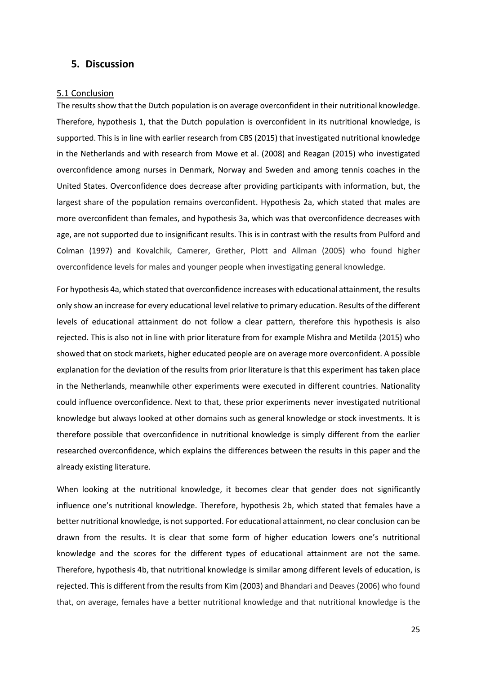# <span id="page-24-0"></span>**5. Discussion**

#### <span id="page-24-1"></span>5.1 Conclusion

The results show that the Dutch population is on average overconfident in their nutritional knowledge. Therefore, hypothesis 1, that the Dutch population is overconfident in its nutritional knowledge, is supported. This is in line with earlier research from CBS (2015) that investigated nutritional knowledge in the Netherlands and with research from Mowe et al. (2008) and Reagan (2015) who investigated overconfidence among nurses in Denmark, Norway and Sweden and among tennis coaches in the United States. Overconfidence does decrease after providing participants with information, but, the largest share of the population remains overconfident. Hypothesis 2a, which stated that males are more overconfident than females, and hypothesis 3a, which was that overconfidence decreases with age, are not supported due to insignificant results. This is in contrast with the results from Pulford and Colman (1997) and Kovalchik, Camerer, Grether, Plott and Allman (2005) who found higher overconfidence levels for males and younger people when investigating general knowledge.

For hypothesis 4a, which stated that overconfidence increases with educational attainment, the results only show an increase for every educational level relative to primary education. Results of the different levels of educational attainment do not follow a clear pattern, therefore this hypothesis is also rejected. This is also not in line with prior literature from for example Mishra and Metilda (2015) who showed that on stock markets, higher educated people are on average more overconfident. A possible explanation for the deviation of the results from prior literature is that this experiment has taken place in the Netherlands, meanwhile other experiments were executed in different countries. Nationality could influence overconfidence. Next to that, these prior experiments never investigated nutritional knowledge but always looked at other domains such as general knowledge or stock investments. It is therefore possible that overconfidence in nutritional knowledge is simply different from the earlier researched overconfidence, which explains the differences between the results in this paper and the already existing literature.

When looking at the nutritional knowledge, it becomes clear that gender does not significantly influence one's nutritional knowledge. Therefore, hypothesis 2b, which stated that females have a better nutritional knowledge, is not supported. For educational attainment, no clear conclusion can be drawn from the results. It is clear that some form of higher education lowers one's nutritional knowledge and the scores for the different types of educational attainment are not the same. Therefore, hypothesis 4b, that nutritional knowledge is similar among different levels of education, is rejected. This is different from the results from Kim (2003) and Bhandari and Deaves (2006) who found that, on average, females have a better nutritional knowledge and that nutritional knowledge is the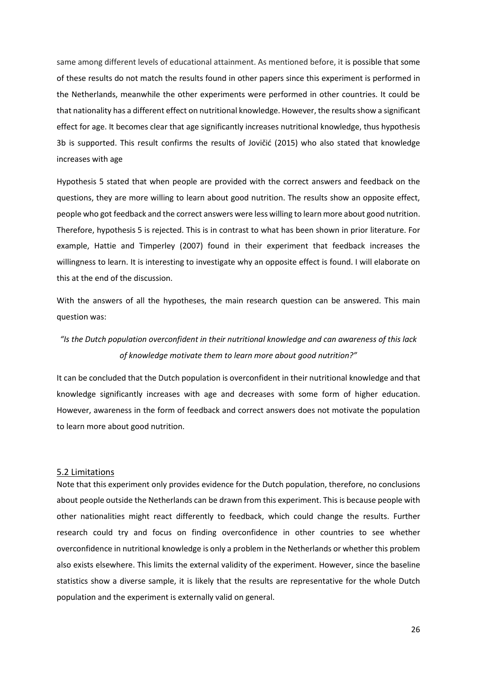same among different levels of educational attainment. As mentioned before, it is possible that some of these results do not match the results found in other papers since this experiment is performed in the Netherlands, meanwhile the other experiments were performed in other countries. It could be that nationality has a different effect on nutritional knowledge. However, the results show a significant effect for age. It becomes clear that age significantly increases nutritional knowledge, thus hypothesis 3b is supported. This result confirms the results of Jovičić (2015) who also stated that knowledge increases with age

Hypothesis 5 stated that when people are provided with the correct answers and feedback on the questions, they are more willing to learn about good nutrition. The results show an opposite effect, people who got feedback and the correct answers were less willing to learn more about good nutrition. Therefore, hypothesis 5 is rejected. This is in contrast to what has been shown in prior literature. For example, Hattie and Timperley (2007) found in their experiment that feedback increases the willingness to learn. It is interesting to investigate why an opposite effect is found. I will elaborate on this at the end of the discussion.

With the answers of all the hypotheses, the main research question can be answered. This main question was:

# *"Is the Dutch population overconfident in their nutritional knowledge and can awareness of this lack of knowledge motivate them to learn more about good nutrition?"*

It can be concluded that the Dutch population is overconfident in their nutritional knowledge and that knowledge significantly increases with age and decreases with some form of higher education. However, awareness in the form of feedback and correct answers does not motivate the population to learn more about good nutrition.

### <span id="page-25-0"></span>5.2 Limitations

Note that this experiment only provides evidence for the Dutch population, therefore, no conclusions about people outside the Netherlands can be drawn from this experiment. This is because people with other nationalities might react differently to feedback, which could change the results. Further research could try and focus on finding overconfidence in other countries to see whether overconfidence in nutritional knowledge is only a problem in the Netherlands or whether this problem also exists elsewhere. This limits the external validity of the experiment. However, since the baseline statistics show a diverse sample, it is likely that the results are representative for the whole Dutch population and the experiment is externally valid on general.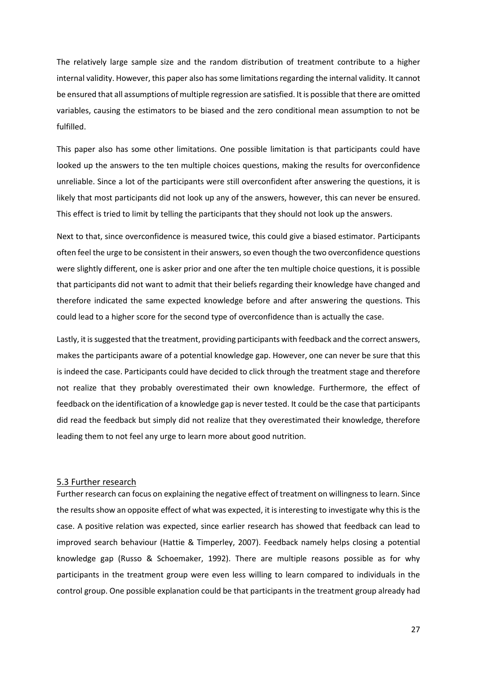The relatively large sample size and the random distribution of treatment contribute to a higher internal validity. However, this paper also has some limitations regarding the internal validity. It cannot be ensured that all assumptions of multiple regression are satisfied. It is possible that there are omitted variables, causing the estimators to be biased and the zero conditional mean assumption to not be fulfilled.

This paper also has some other limitations. One possible limitation is that participants could have looked up the answers to the ten multiple choices questions, making the results for overconfidence unreliable. Since a lot of the participants were still overconfident after answering the questions, it is likely that most participants did not look up any of the answers, however, this can never be ensured. This effect is tried to limit by telling the participants that they should not look up the answers.

Next to that, since overconfidence is measured twice, this could give a biased estimator. Participants often feel the urge to be consistent in their answers, so even though the two overconfidence questions were slightly different, one is asker prior and one after the ten multiple choice questions, it is possible that participants did not want to admit that their beliefs regarding their knowledge have changed and therefore indicated the same expected knowledge before and after answering the questions. This could lead to a higher score for the second type of overconfidence than is actually the case.

Lastly, it is suggested that the treatment, providing participants with feedback and the correct answers, makes the participants aware of a potential knowledge gap. However, one can never be sure that this is indeed the case. Participants could have decided to click through the treatment stage and therefore not realize that they probably overestimated their own knowledge. Furthermore, the effect of feedback on the identification of a knowledge gap is never tested. It could be the case that participants did read the feedback but simply did not realize that they overestimated their knowledge, therefore leading them to not feel any urge to learn more about good nutrition.

#### <span id="page-26-0"></span>5.3 Further research

Further research can focus on explaining the negative effect of treatment on willingness to learn. Since the results show an opposite effect of what was expected, it is interesting to investigate why this is the case. A positive relation was expected, since earlier research has showed that feedback can lead to improved search behaviour (Hattie & Timperley, 2007). Feedback namely helps closing a potential knowledge gap (Russo & Schoemaker, 1992). There are multiple reasons possible as for why participants in the treatment group were even less willing to learn compared to individuals in the control group. One possible explanation could be that participants in the treatment group already had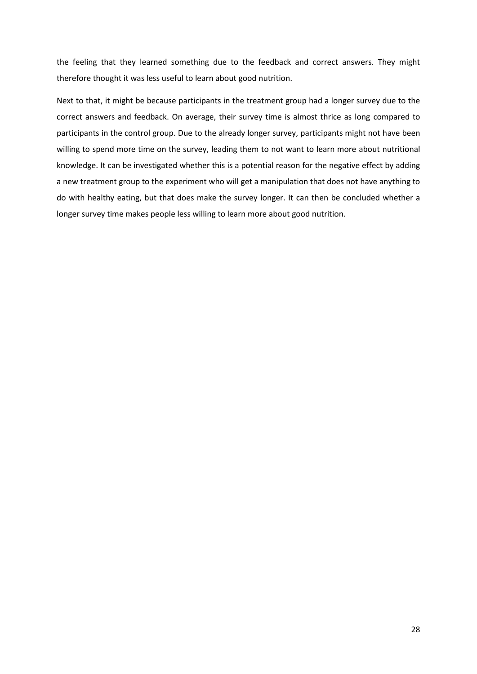the feeling that they learned something due to the feedback and correct answers. They might therefore thought it was less useful to learn about good nutrition.

Next to that, it might be because participants in the treatment group had a longer survey due to the correct answers and feedback. On average, their survey time is almost thrice as long compared to participants in the control group. Due to the already longer survey, participants might not have been willing to spend more time on the survey, leading them to not want to learn more about nutritional knowledge. It can be investigated whether this is a potential reason for the negative effect by adding a new treatment group to the experiment who will get a manipulation that does not have anything to do with healthy eating, but that does make the survey longer. It can then be concluded whether a longer survey time makes people less willing to learn more about good nutrition.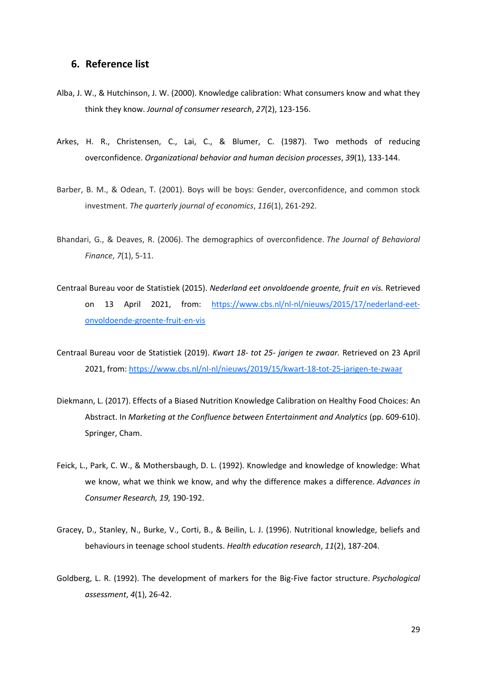## <span id="page-28-0"></span>**6. Reference list**

- Alba, J. W., & Hutchinson, J. W. (2000). Knowledge calibration: What consumers know and what they think they know. *Journal of consumer research*, *27*(2), 123-156.
- Arkes, H. R., Christensen, C., Lai, C., & Blumer, C. (1987). Two methods of reducing overconfidence. *Organizational behavior and human decision processes*, *39*(1), 133-144.
- Barber, B. M., & Odean, T. (2001). Boys will be boys: Gender, overconfidence, and common stock investment. *The quarterly journal of economics*, *116*(1), 261-292.
- Bhandari, G., & Deaves, R. (2006). The demographics of overconfidence. *The Journal of Behavioral Finance*, *7*(1), 5-11.
- Centraal Bureau voor de Statistiek (2015). *Nederland eet onvoldoende groente, fruit en vis.* Retrieved on 13 April 2021, from: [https://www.cbs.nl/nl-nl/nieuws/2015/17/nederland-eet](https://www.cbs.nl/nl-nl/nieuws/2015/17/nederland-eet-onvoldoende-groente-fruit-en-vis)[onvoldoende-groente-fruit-en-vis](https://www.cbs.nl/nl-nl/nieuws/2015/17/nederland-eet-onvoldoende-groente-fruit-en-vis)
- Centraal Bureau voor de Statistiek (2019). *Kwart 18- tot 25- jarigen te zwaar.* Retrieved on 23 April 2021, from:<https://www.cbs.nl/nl-nl/nieuws/2019/15/kwart-18-tot-25-jarigen-te-zwaar>
- Diekmann, L. (2017). Effects of a Biased Nutrition Knowledge Calibration on Healthy Food Choices: An Abstract. In *Marketing at the Confluence between Entertainment and Analytics* (pp. 609-610). Springer, Cham.
- Feick, L., Park, C. W., & Mothersbaugh, D. L. (1992). Knowledge and knowledge of knowledge: What we know, what we think we know, and why the difference makes a difference. *Advances in Consumer Research, 19,* 190-192.
- Gracey, D., Stanley, N., Burke, V., Corti, B., & Beilin, L. J. (1996). Nutritional knowledge, beliefs and behaviours in teenage school students. *Health education research*, *11*(2), 187-204.
- Goldberg, L. R. (1992). The development of markers for the Big-Five factor structure. *Psychological assessment*, *4*(1), 26-42.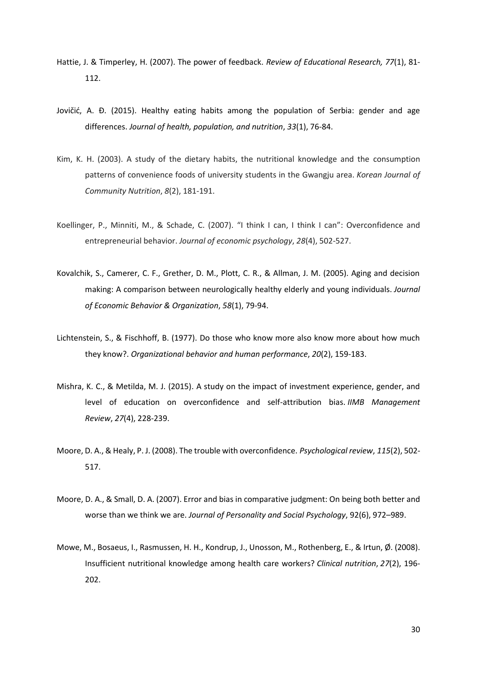- Hattie, J. & Timperley, H. (2007). The power of feedback. *Review of Educational Research, 77*(1), 81- 112.
- Jovičić, A. Đ. (2015). Healthy eating habits among the population of Serbia: gender and age differences. *Journal of health, population, and nutrition*, *33*(1), 76-84.
- Kim, K. H. (2003). A study of the dietary habits, the nutritional knowledge and the consumption patterns of convenience foods of university students in the Gwangju area. *Korean Journal of Community Nutrition*, *8*(2), 181-191.
- Koellinger, P., Minniti, M., & Schade, C. (2007). "I think I can, I think I can": Overconfidence and entrepreneurial behavior. *Journal of economic psychology*, *28*(4), 502-527.
- Kovalchik, S., Camerer, C. F., Grether, D. M., Plott, C. R., & Allman, J. M. (2005). Aging and decision making: A comparison between neurologically healthy elderly and young individuals. *Journal of Economic Behavior & Organization*, *58*(1), 79-94.
- Lichtenstein, S., & Fischhoff, B. (1977). Do those who know more also know more about how much they know?. *Organizational behavior and human performance*, *20*(2), 159-183.
- Mishra, K. C., & Metilda, M. J. (2015). A study on the impact of investment experience, gender, and level of education on overconfidence and self-attribution bias. *IIMB Management Review*, *27*(4), 228-239.
- Moore, D. A., & Healy, P. J. (2008). The trouble with overconfidence. *Psychological review*, *115*(2), 502- 517.
- Moore, D. A., & Small, D. A. (2007). Error and bias in comparative judgment: On being both better and worse than we think we are. *Journal of Personality and Social Psychology*, 92(6), 972–989.
- Mowe, M., Bosaeus, I., Rasmussen, H. H., Kondrup, J., Unosson, M., Rothenberg, E., & Irtun, Ø. (2008). Insufficient nutritional knowledge among health care workers? *Clinical nutrition*, *27*(2), 196- 202.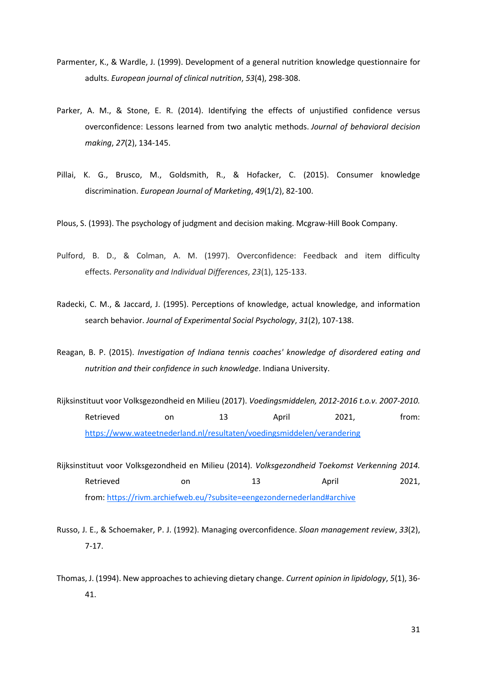- Parmenter, K., & Wardle, J. (1999). Development of a general nutrition knowledge questionnaire for adults. *European journal of clinical nutrition*, *53*(4), 298-308.
- Parker, A. M., & Stone, E. R. (2014). Identifying the effects of unjustified confidence versus overconfidence: Lessons learned from two analytic methods. *Journal of behavioral decision making*, *27*(2), 134-145.
- Pillai, K. G., Brusco, M., Goldsmith, R., & Hofacker, C. (2015). Consumer knowledge discrimination. *European Journal of Marketing*, *49*(1/2), 82-100.

Plous, S. (1993). The psychology of judgment and decision making. Mcgraw-Hill Book Company.

- Pulford, B. D., & Colman, A. M. (1997). Overconfidence: Feedback and item difficulty effects. *Personality and Individual Differences*, *23*(1), 125-133.
- Radecki, C. M., & Jaccard, J. (1995). Perceptions of knowledge, actual knowledge, and information search behavior. *Journal of Experimental Social Psychology*, *31*(2), 107-138.
- Reagan, B. P. (2015). *Investigation of Indiana tennis coaches' knowledge of disordered eating and nutrition and their confidence in such knowledge*. Indiana University.
- Rijksinstituut voor Volksgezondheid en Milieu (2017). *Voedingsmiddelen, 2012-2016 t.o.v. 2007-2010.*  Retrieved on 13 April 2021, from: <https://www.wateetnederland.nl/resultaten/voedingsmiddelen/verandering>
- Rijksinstituut voor Volksgezondheid en Milieu (2014). *Volksgezondheid Toekomst Verkenning 2014.*  Retrieved on 0.13 April 2021, from: <https://rivm.archiefweb.eu/?subsite=eengezondernederland#archive>
- Russo, J. E., & Schoemaker, P. J. (1992). Managing overconfidence. *Sloan management review*, *33*(2), 7-17.
- Thomas, J. (1994). New approaches to achieving dietary change. *Current opinion in lipidology*, *5*(1), 36- 41.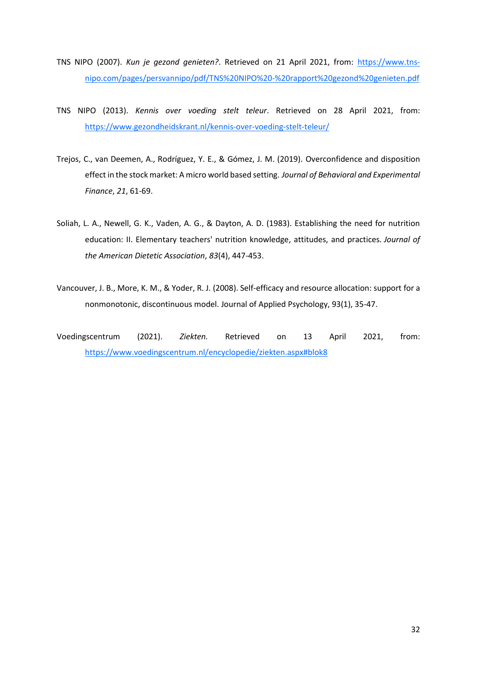- TNS NIPO (2007). *Kun je gezond genieten?*. Retrieved on 21 April 2021, from: [https://www.tns](https://www.tns-nipo.com/pages/persvannipo/pdf/TNS%20NIPO%20-%20rapport%20gezond%20genieten.pdf)[nipo.com/pages/persvannipo/pdf/TNS%20NIPO%20-%20rapport%20gezond%20genieten.pdf](https://www.tns-nipo.com/pages/persvannipo/pdf/TNS%20NIPO%20-%20rapport%20gezond%20genieten.pdf)
- TNS NIPO (2013). *Kennis over voeding stelt teleur*. Retrieved on 28 April 2021, from: <https://www.gezondheidskrant.nl/kennis-over-voeding-stelt-teleur/>
- Trejos, C., van Deemen, A., Rodríguez, Y. E., & Gómez, J. M. (2019). Overconfidence and disposition effect in the stock market: A micro world based setting. *Journal of Behavioral and Experimental Finance*, *21*, 61-69.
- Soliah, L. A., Newell, G. K., Vaden, A. G., & Dayton, A. D. (1983). Establishing the need for nutrition education: II. Elementary teachers' nutrition knowledge, attitudes, and practices. *Journal of the American Dietetic Association*, *83*(4), 447-453.
- Vancouver, J. B., More, K. M., & Yoder, R. J. (2008). Self-efficacy and resource allocation: support for a nonmonotonic, discontinuous model. Journal of Applied Psychology, 93(1), 35-47.
- Voedingscentrum (2021). *Ziekten.* Retrieved on 13 April 2021, from: <https://www.voedingscentrum.nl/encyclopedie/ziekten.aspx#blok8>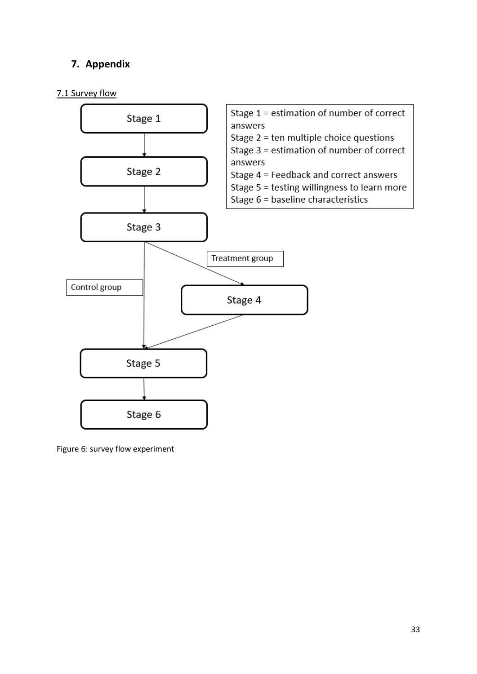# <span id="page-32-0"></span>**7. Appendix**

# <span id="page-32-1"></span>7.1 Survey flow



Figure 6: survey flow experiment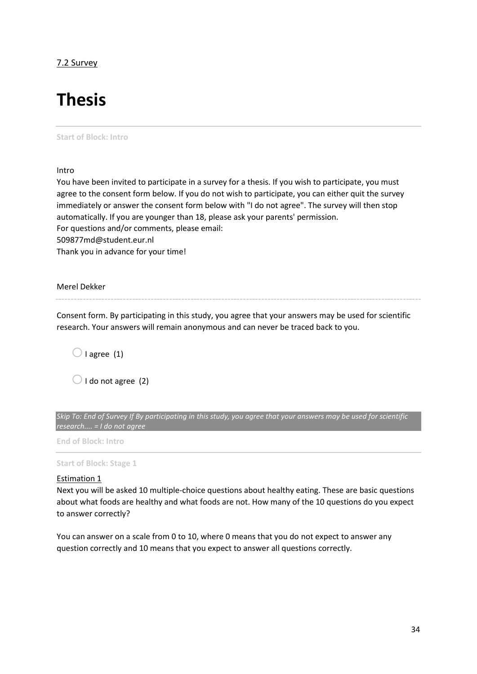# <span id="page-33-0"></span>7.2 Survey

# **Thesis**

### **Start of Block: Intro**

Intro

You have been invited to participate in a survey for a thesis. If you wish to participate, you must agree to the consent form below. If you do not wish to participate, you can either quit the survey immediately or answer the consent form below with "I do not agree". The survey will then stop automatically. If you are younger than 18, please ask your parents' permission. For questions and/or comments, please email: 509877md@student.eur.nl Thank you in advance for your time!

Merel Dekker

Consent form. By participating in this study, you agree that your answers may be used for scientific research. Your answers will remain anonymous and can never be traced back to you.

 $\bigcirc$  I agree (1)

 $\bigcirc$  I do not agree (2)

*Skip To: End of Survey If By participating in this study, you agree that your answers may be used for scientific research.... = I do not agree*

**End of Block: Intro**

**Start of Block: Stage 1**

### Estimation 1

Next you will be asked 10 multiple-choice questions about healthy eating. These are basic questions about what foods are healthy and what foods are not. How many of the 10 questions do you expect to answer correctly?

You can answer on a scale from 0 to 10, where 0 means that you do not expect to answer any question correctly and 10 means that you expect to answer all questions correctly.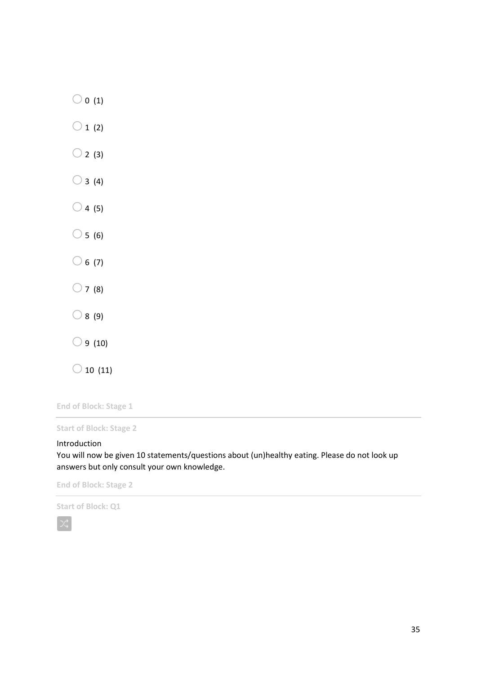| $\bigcirc$ 0 (1)    |
|---------------------|
| $\bigcirc$ 1<br>(2) |
| $\bigcirc$ 2<br>(3) |
| $\bigcirc$ 3 (4)    |
| $\bigcirc$ 4 (5)    |
| $\bigcirc$ 5 (6)    |
| $\bigcirc$ 6 (7)    |
| $\bigcirc$ 7<br>(8) |
| $\bigcirc$ 8 (9)    |
| $\bigcirc$ 9 (10)   |
| C<br>) 10 (11)      |

**End of Block: Stage 1**

**Start of Block: Stage 2**

### Introduction

You will now be given 10 statements/questions about (un)healthy eating. Please do not look up answers but only consult your own knowledge.

**End of Block: Stage 2**

**Start of Block: Q1**

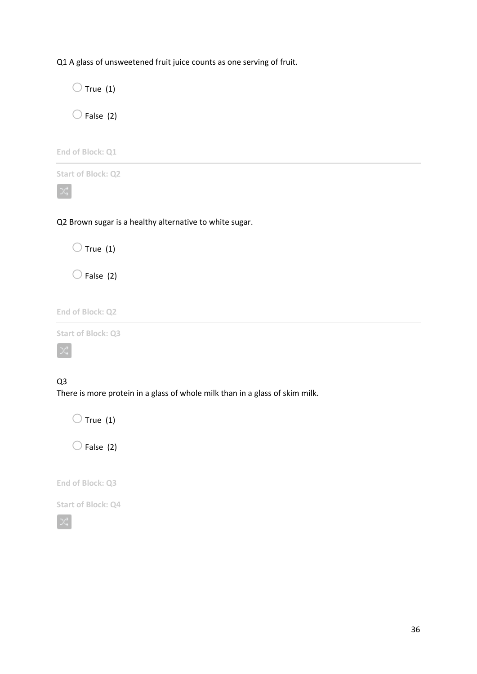Q1 A glass of unsweetened fruit juice counts as one serving of fruit.

 $\bigcirc$  True (1)  $\bigcirc$  False (2)

**End of Block: Q1**



 $\propto$ 

Q2 Brown sugar is a healthy alternative to white sugar.

 $\bigcirc$  True (1)

 $\bigcirc$  False (2)

**End of Block: Q2**

**Start of Block: Q3**



# Q3

There is more protein in a glass of whole milk than in a glass of skim milk.

 $\bigcirc$  True (1)

 $\bigcirc$  False (2)

**End of Block: Q3**

**Start of Block: Q4**

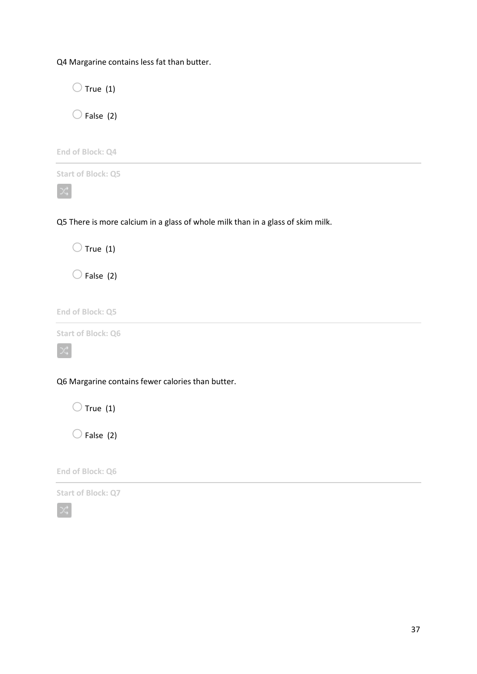Q4 Margarine contains less fat than butter.

 $\bigcirc$  True (1)  $\bigcirc$  False (2) **End of Block: Q4 Start of Block: Q5**  $\propto$ Q5 There is more calcium in a glass of whole milk than in a glass of skim milk.  $\bigcirc$  True (1)  $\bigcirc$  False (2) **End of Block: Q5 Start of Block: Q6** Q6 Margarine contains fewer calories than butter.  $\bigcirc$  True (1)

 $\bigcirc$  False (2)

**End of Block: Q6**

**Start of Block: Q7**

∞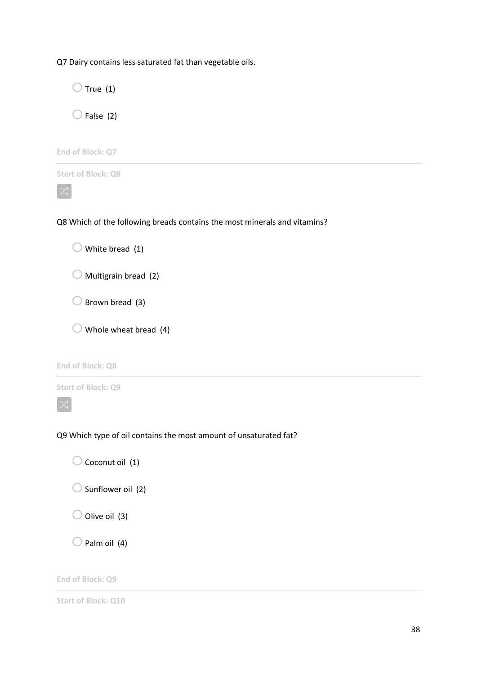Q7 Dairy contains less saturated fat than vegetable oils.

 $\bigcirc$  True (1)  $\bigcirc$  False (2)

**End of Block: Q7**



Q8 Which of the following breads contains the most minerals and vitamins?

 $\bigcirc$  White bread (1)  $\bigcirc$  Multigrain bread (2)

 $\bigcirc$  Brown bread (3)

 $\bigcirc$  Whole wheat bread (4)

**End of Block: Q8**

**Start of Block: Q9**



Q9 Which type of oil contains the most amount of unsaturated fat?

 $\bigcirc$  Coconut oil (1)

 $\bigcirc$  Sunflower oil (2)

 $\bigcirc$  Olive oil (3)

 $\bigcirc$  Palm oil (4)

**End of Block: Q9**

**Start of Block: Q10**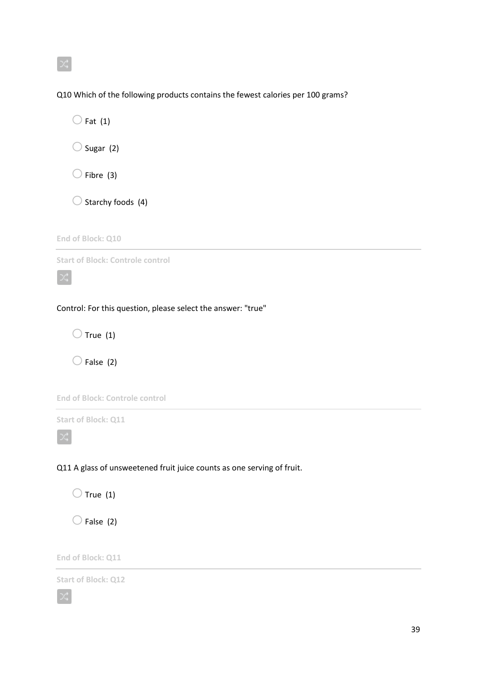Q10 Which of the following products contains the fewest calories per 100 grams?

 $\bigcirc$  Fat (1)  $\bigcirc$  Sugar (2)  $\bigcirc$  Fibre (3)

 $\bigcirc$  Starchy foods (4)

**End of Block: Q10**

**Start of Block: Controle control**

### Control: For this question, please select the answer: "true"

 $\bigcirc$  True (1)

 $\bigcirc$  False (2)



**Start of Block: Q11**

Q11 A glass of unsweetened fruit juice counts as one serving of fruit.

 $\bigcirc$  True (1)

 $\bigcirc$  False (2)

**End of Block: Q11**

**Start of Block: Q12**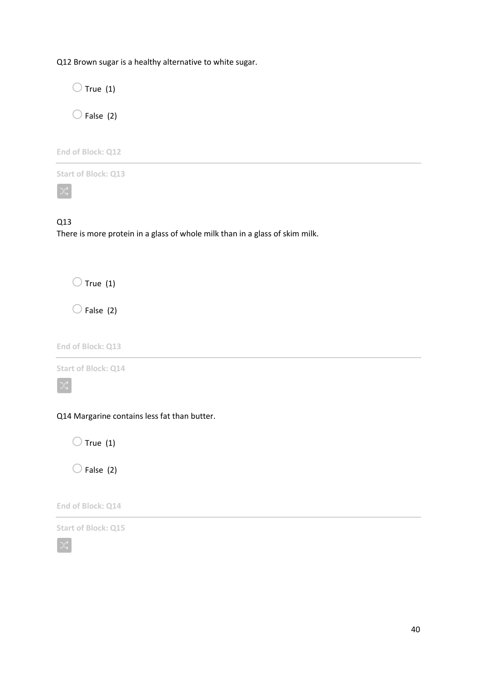Q12 Brown sugar is a healthy alternative to white sugar.

 $\bigcirc$  True (1)

 $\bigcirc$  False (2)

**End of Block: Q12**

**Start of Block: Q13**

 $\propto$ 

# Q13

There is more protein in a glass of whole milk than in a glass of skim milk.

 $\bigcirc$  True (1)

 $\bigcirc$  False (2)

**End of Block: Q13**

**Start of Block: Q14**

Q14 Margarine contains less fat than butter.

 $\bigcirc$  True (1)

 $\bigcirc$  False (2)

**End of Block: Q14**

**Start of Block: Q15**

X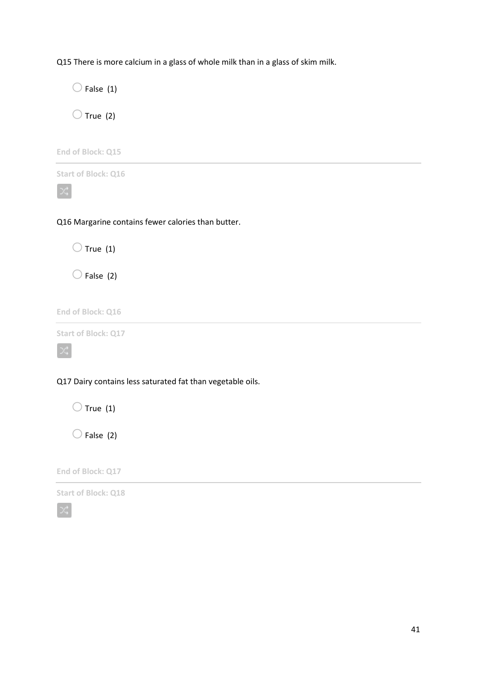Q15 There is more calcium in a glass of whole milk than in a glass of skim milk.

 $\bigcirc$  False (1)  $\bigcirc$  True (2) **End of Block: Q15 Start of Block: Q16**  $\propto$ Q16 Margarine contains fewer calories than butter.  $\bigcirc$  True (1)  $\bigcirc$  False (2) **End of Block: Q16 Start of Block: Q17**

Q17 Dairy contains less saturated fat than vegetable oils.

 $\bigcirc$  True (1)

 $\bigcirc$  False (2)

**End of Block: Q17**

**Start of Block: Q18**

X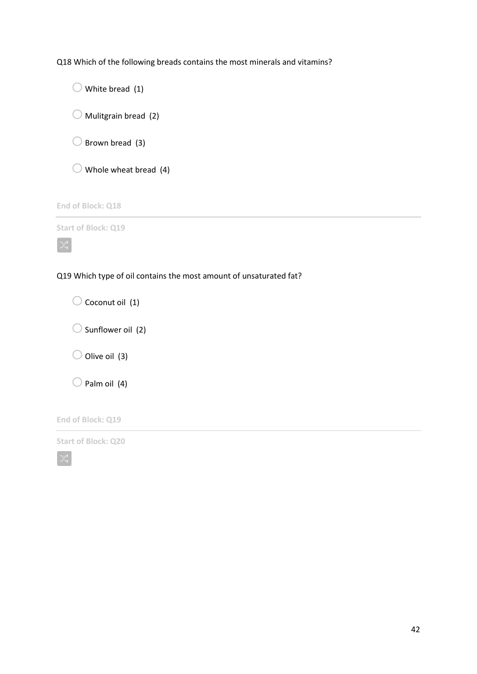Q18 Which of the following breads contains the most minerals and vitamins?

 $\bigcirc$  White bread (1)  $\bigcirc$  Mulitgrain bread (2)  $\bigcirc$  Brown bread (3)  $\bigcirc$  Whole wheat bread (4)

**End of Block: Q18**

**Start of Block: Q19**

 $\propto$ 

Q19 Which type of oil contains the most amount of unsaturated fat?

 $\bigcirc$  Coconut oil (1)  $\bigcirc$  Sunflower oil (2)  $\bigcirc$  Olive oil (3)  $\bigcirc$  Palm oil (4)

**End of Block: Q19**

**Start of Block: Q20**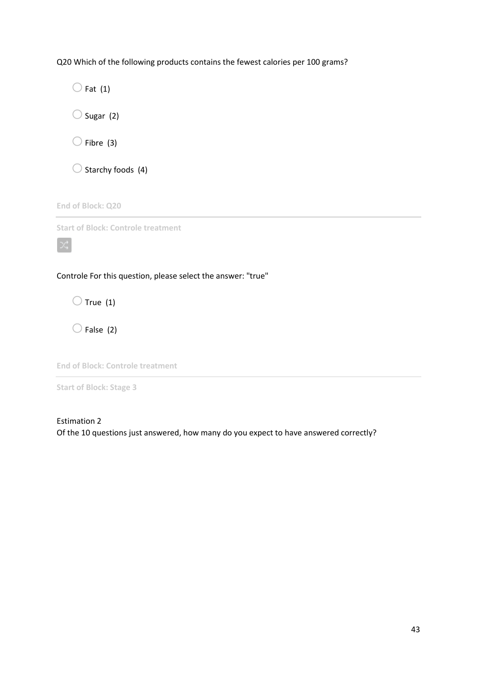Q20 Which of the following products contains the fewest calories per 100 grams?

 $\bigcirc$  Fat (1)  $\bigcirc$  Sugar (2)  $\bigcirc$  Fibre (3)  $\bigcirc$  Starchy foods (4) **End of Block: Q20 Start of Block: Controle treatment**  $\propto$ Controle For this question, please select the answer: "true"

 $\bigcirc$  True (1)

 $\bigcirc$  False (2)

**End of Block: Controle treatment**

**Start of Block: Stage 3**

Estimation 2 Of the 10 questions just answered, how many do you expect to have answered correctly?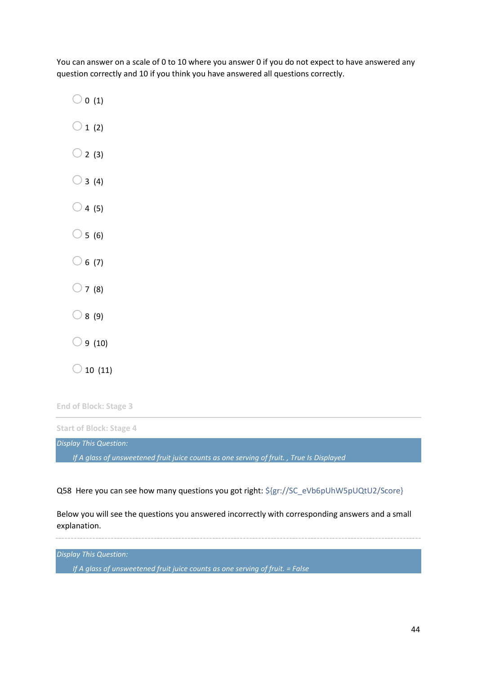You can answer on a scale of 0 to 10 where you answer 0 if you do not expect to have answered any question correctly and 10 if you think you have answered all questions correctly.

 $\bigcirc$  0 (1)

 $\bigcirc$  1 (2)

- $\bigcirc$  2 (3)
- $\bigcirc$  3 (4)
- $\bigcirc$  4 (5)
- $\bigcirc$  5 (6)
- $\bigcirc$  6 (7)
- $\bigcirc$  7 (8)
- $\bigcirc$  8 (9)
- $\bigcirc$  9 (10)
- $\bigcirc$  10 (11)

**End of Block: Stage 3**

**Start of Block: Stage 4**

*Display This Question:*

*If A glass of unsweetened fruit juice counts as one serving of fruit. , True Is Displayed*

Q58 Here you can see how many questions you got right: \${gr://SC\_eVb6pUhW5pUQtU2/Score}

Below you will see the questions you answered incorrectly with corresponding answers and a small explanation.

*Display This Question:*

*If A glass of unsweetened fruit juice counts as one serving of fruit. = False*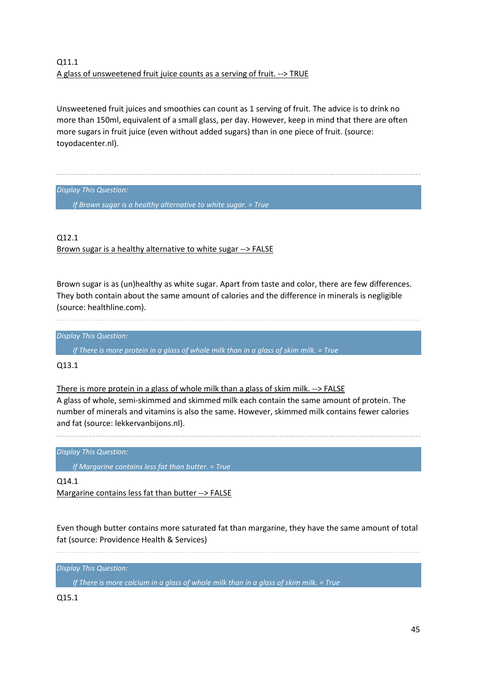# Q11.1 A glass of unsweetened fruit juice counts as a serving of fruit. --> TRUE

Unsweetened fruit juices and smoothies can count as 1 serving of fruit. The advice is to drink no more than 150ml, equivalent of a small glass, per day. However, keep in mind that there are often more sugars in fruit juice (even without added sugars) than in one piece of fruit. (source: toyodacenter.nl).

*Display This Question:*

*If Brown sugar is a healthy alternative to white sugar. = True*

Q12.1 Brown sugar is a healthy alternative to white sugar --> FALSE

Brown sugar is as (un)healthy as white sugar. Apart from taste and color, there are few differences. They both contain about the same amount of calories and the difference in minerals is negligible (source: healthline.com).

*Display This Question:*

*If There is more protein in a glass of whole milk than in a glass of skim milk. = True*

Q13.1

There is more protein in a glass of whole milk than a glass of skim milk. --> FALSE

A glass of whole, semi-skimmed and skimmed milk each contain the same amount of protein. The number of minerals and vitamins is also the same. However, skimmed milk contains fewer calories and fat (source: lekkervanbijons.nl).

*Display This Question:*

*If Margarine contains less fat than butter. = True*

Q14.1 Margarine contains less fat than butter --> FALSE

Even though butter contains more saturated fat than margarine, they have the same amount of total fat (source: Providence Health & Services)

*Display This Question:*

*If There is more calcium in a glass of whole milk than in a glass of skim milk. = True*

Q15.1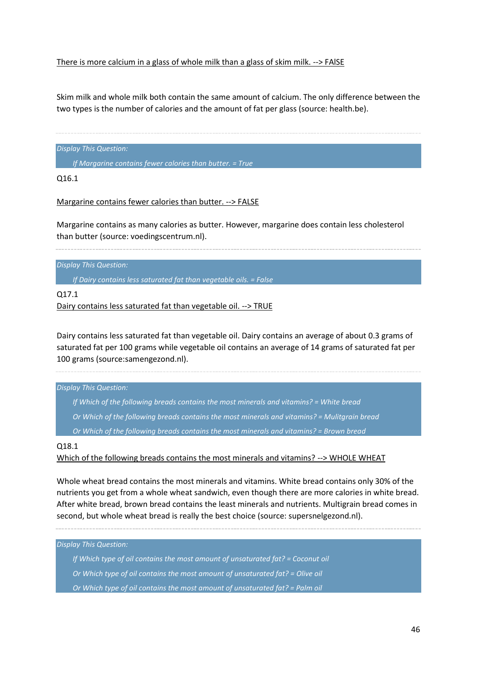### There is more calcium in a glass of whole milk than a glass of skim milk. --> FAlSE

Skim milk and whole milk both contain the same amount of calcium. The only difference between the two types is the number of calories and the amount of fat per glass (source: health.be).

*Display This Question:*

*If Margarine contains fewer calories than butter. = True*

Q16.1

Margarine contains fewer calories than butter. --> FALSE

Margarine contains as many calories as butter. However, margarine does contain less cholesterol than butter (source: voedingscentrum.nl).

*Display This Question:*

*If Dairy contains less saturated fat than vegetable oils. = False*

Q17.1

Dairy contains less saturated fat than vegetable oil. --> TRUE

Dairy contains less saturated fat than vegetable oil. Dairy contains an average of about 0.3 grams of saturated fat per 100 grams while vegetable oil contains an average of 14 grams of saturated fat per 100 grams (source:samengezond.nl).

*Display This Question:*

- *If Which of the following breads contains the most minerals and vitamins? = White bread*
- *Or Which of the following breads contains the most minerals and vitamins? = Mulitgrain bread*
- *Or Which of the following breads contains the most minerals and vitamins? = Brown bread*

Q18.1

Which of the following breads contains the most minerals and vitamins? --> WHOLE WHEAT

Whole wheat bread contains the most minerals and vitamins. White bread contains only 30% of the nutrients you get from a whole wheat sandwich, even though there are more calories in white bread. After white bread, brown bread contains the least minerals and nutrients. Multigrain bread comes in second, but whole wheat bread is really the best choice (source: supersnelgezond.nl).

*Display This Question: If Which type of oil contains the most amount of unsaturated fat? = Coconut oil Or Which type of oil contains the most amount of unsaturated fat? = Olive oil Or Which type of oil contains the most amount of unsaturated fat? = Palm oil*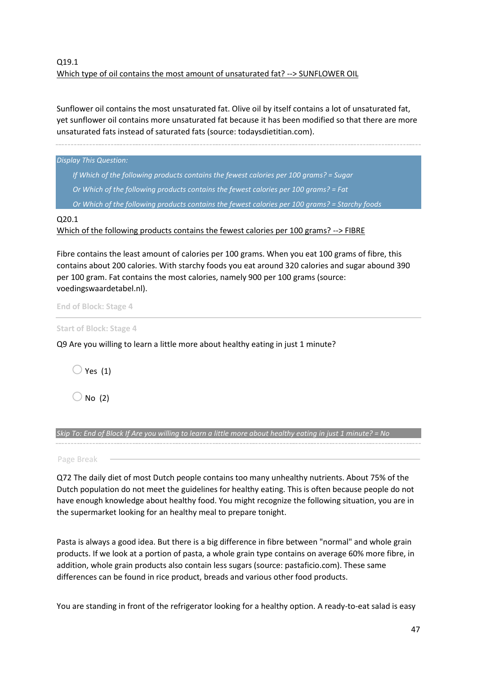# Q19.1 Which type of oil contains the most amount of unsaturated fat? --> SUNFLOWER OIL

Sunflower oil contains the most unsaturated fat. Olive oil by itself contains a lot of unsaturated fat, yet sunflower oil contains more unsaturated fat because it has been modified so that there are more unsaturated fats instead of saturated fats (source: todaysdietitian.com).

*Display This Question: If Which of the following products contains the fewest calories per 100 grams? = Sugar Or Which of the following products contains the fewest calories per 100 grams? = Fat Or Which of the following products contains the fewest calories per 100 grams? = Starchy foods*

Q20.1

Which of the following products contains the fewest calories per 100 grams? --> FIBRE

Fibre contains the least amount of calories per 100 grams. When you eat 100 grams of fibre, this contains about 200 calories. With starchy foods you eat around 320 calories and sugar abound 390 per 100 gram. Fat contains the most calories, namely 900 per 100 grams (source: voedingswaardetabel.nl).

**End of Block: Stage 4**

**Start of Block: Stage 4**

Q9 Are you willing to learn a little more about healthy eating in just 1 minute?

 $\bigcirc$  Yes (1)

 $\bigcirc$  No (2)

*Skip To: End of Block If Are you willing to learn a little more about healthy eating in just 1 minute? = No*

Page Break

Q72 The daily diet of most Dutch people contains too many unhealthy nutrients. About 75% of the Dutch population do not meet the guidelines for healthy eating. This is often because people do not have enough knowledge about healthy food. You might recognize the following situation, you are in the supermarket looking for an healthy meal to prepare tonight.

Pasta is always a good idea. But there is a big difference in fibre between "normal" and whole grain products. If we look at a portion of pasta, a whole grain type contains on average 60% more fibre, in addition, whole grain products also contain less sugars (source: pastaficio.com). These same differences can be found in rice product, breads and various other food products.

You are standing in front of the refrigerator looking for a healthy option. A ready-to-eat salad is easy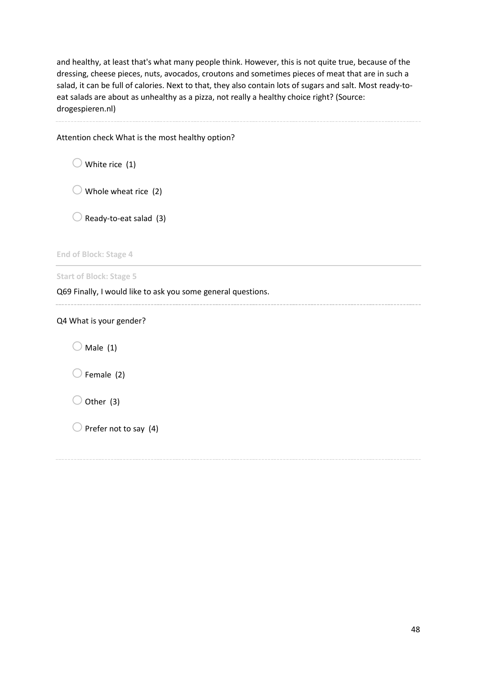and healthy, at least that's what many people think. However, this is not quite true, because of the dressing, cheese pieces, nuts, avocados, croutons and sometimes pieces of meat that are in such a salad, it can be full of calories. Next to that, they also contain lots of sugars and salt. Most ready-toeat salads are about as unhealthy as a pizza, not really a healthy choice right? (Source: drogespieren.nl)

Attention check What is the most healthy option?

 $\bigcirc$  White rice (1)

 $\bigcirc$  Whole wheat rice (2)

 $\bigcirc$  Ready-to-eat salad (3)

**End of Block: Stage 4**

**Start of Block: Stage 5**

Q69 Finally, I would like to ask you some general questions.

Q4 What is your gender?

 $\bigcirc$  Male (1)

 $\bigcirc$  Female (2)

 $\bigcirc$  Other (3)

 $\bigcirc$  Prefer not to say (4)